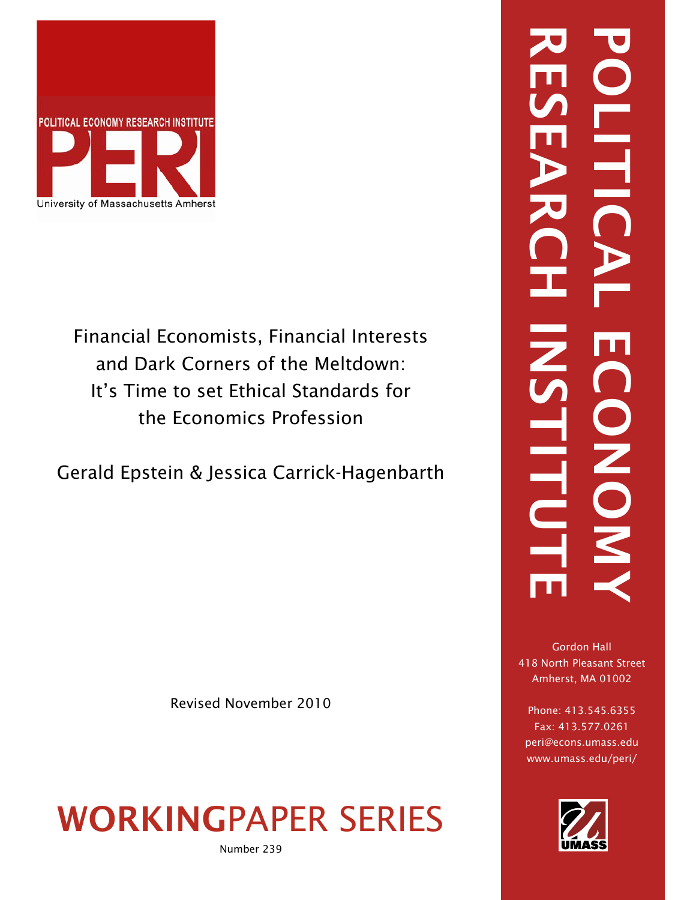

Financial Economists, Financial Interests and Dark Corners of the Meltdown: It's Time to set Ethical Standards for the Economics Profession

Gerald Epstein & Jessica Carrick-Hagenbarth

Revised November 2010

# WORKINGPAPER SERIES

Number 239

# RESEARCH INSTITUTE POLITICAL ECONOMY -<br>三 ONO. **LITU**

Gordon Hall 418 North Pleasant Street Amherst, MA 01002

Phone: 413.545.6355 Fax: 413.577.0261 peri@econs.umass.edu www.umass.edu/peri/

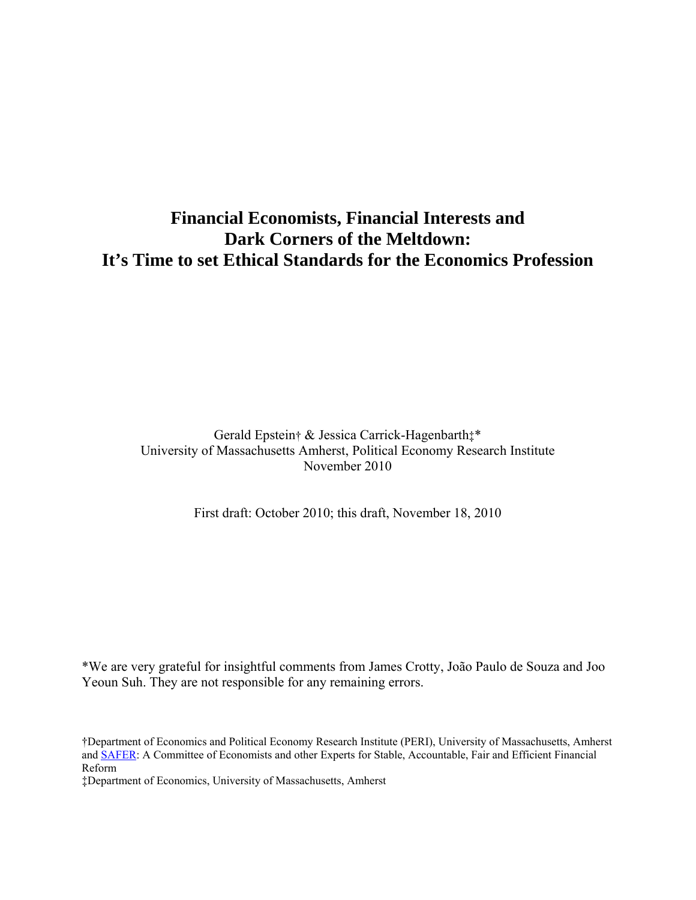# **Financial Economists, Financial Interests and Dark Corners of the Meltdown: It's Time to set Ethical Standards for the Economics Profession**

Gerald Epstein† & Jessica Carrick-Hagenbarth‡\* University of Massachusetts Amherst, Political Economy Research Institute November 2010

First draft: October 2010; this draft, November 18, 2010

\*We are very grateful for insightful comments from James Crotty, João Paulo de Souza and Joo Yeoun Suh. They are not responsible for any remaining errors.

†Department of Economics and Political Economy Research Institute (PERI), University of Massachusetts, Amherst and [SAFER](http://www.peri.umass.edu/safer/): A Committee of Economists and other Experts for Stable, Accountable, Fair and Efficient Financial Reform

‡Department of Economics, University of Massachusetts, Amherst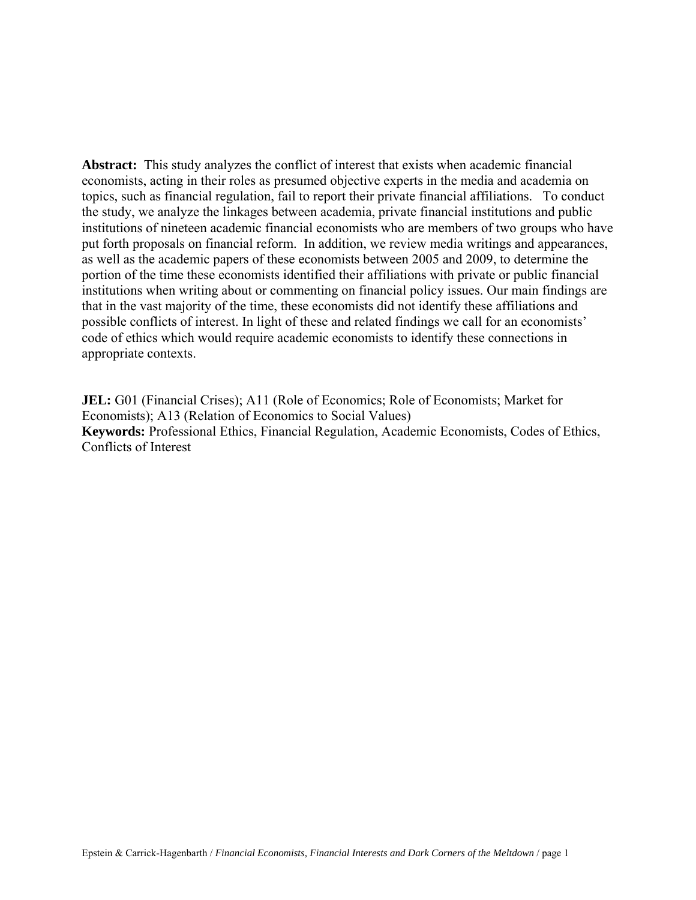**Abstract:** This study analyzes the conflict of interest that exists when academic financial economists, acting in their roles as presumed objective experts in the media and academia on topics, such as financial regulation, fail to report their private financial affiliations. To conduct the study, we analyze the linkages between academia, private financial institutions and public institutions of nineteen academic financial economists who are members of two groups who have put forth proposals on financial reform. In addition, we review media writings and appearances, as well as the academic papers of these economists between 2005 and 2009, to determine the portion of the time these economists identified their affiliations with private or public financial institutions when writing about or commenting on financial policy issues. Our main findings are that in the vast majority of the time, these economists did not identify these affiliations and possible conflicts of interest. In light of these and related findings we call for an economists' code of ethics which would require academic economists to identify these connections in appropriate contexts.

**JEL:** G01 (Financial Crises); A11 (Role of Economics; Role of Economists; Market for Economists); A13 (Relation of Economics to Social Values) **Keywords:** Professional Ethics, Financial Regulation, Academic Economists, Codes of Ethics, Conflicts of Interest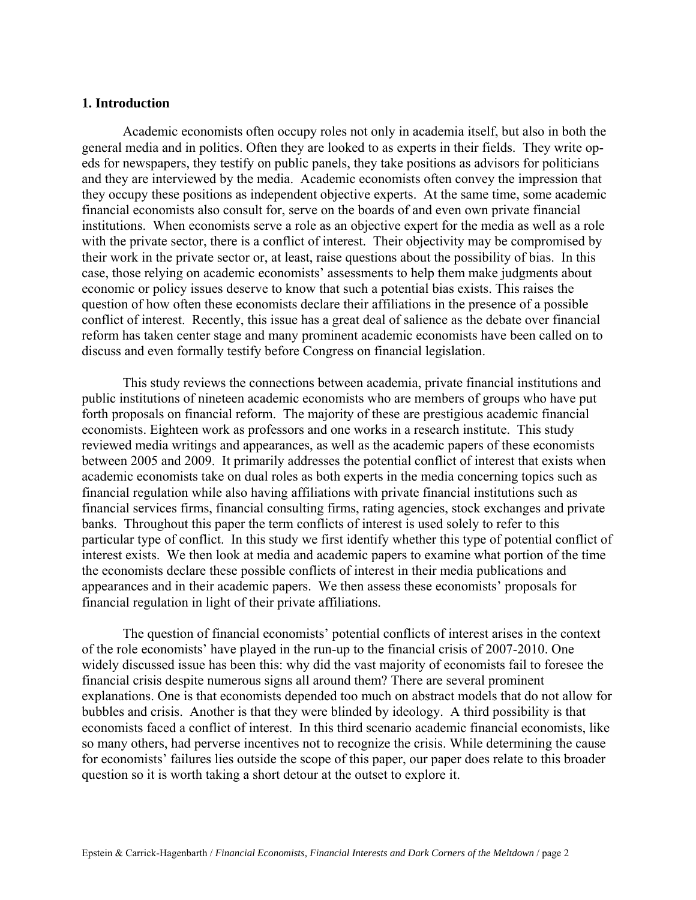#### **1. Introduction**

Academic economists often occupy roles not only in academia itself, but also in both the general media and in politics. Often they are looked to as experts in their fields. They write opeds for newspapers, they testify on public panels, they take positions as advisors for politicians and they are interviewed by the media. Academic economists often convey the impression that they occupy these positions as independent objective experts. At the same time, some academic financial economists also consult for, serve on the boards of and even own private financial institutions. When economists serve a role as an objective expert for the media as well as a role with the private sector, there is a conflict of interest. Their objectivity may be compromised by their work in the private sector or, at least, raise questions about the possibility of bias. In this case, those relying on academic economists' assessments to help them make judgments about economic or policy issues deserve to know that such a potential bias exists. This raises the question of how often these economists declare their affiliations in the presence of a possible conflict of interest. Recently, this issue has a great deal of salience as the debate over financial reform has taken center stage and many prominent academic economists have been called on to discuss and even formally testify before Congress on financial legislation.

This study reviews the connections between academia, private financial institutions and public institutions of nineteen academic economists who are members of groups who have put forth proposals on financial reform. The majority of these are prestigious academic financial economists. Eighteen work as professors and one works in a research institute. This study reviewed media writings and appearances, as well as the academic papers of these economists between 2005 and 2009. It primarily addresses the potential conflict of interest that exists when academic economists take on dual roles as both experts in the media concerning topics such as financial regulation while also having affiliations with private financial institutions such as financial services firms, financial consulting firms, rating agencies, stock exchanges and private banks. Throughout this paper the term conflicts of interest is used solely to refer to this particular type of conflict. In this study we first identify whether this type of potential conflict of interest exists. We then look at media and academic papers to examine what portion of the time the economists declare these possible conflicts of interest in their media publications and appearances and in their academic papers. We then assess these economists' proposals for financial regulation in light of their private affiliations.

The question of financial economists' potential conflicts of interest arises in the context of the role economists' have played in the run-up to the financial crisis of 2007-2010. One widely discussed issue has been this: why did the vast majority of economists fail to foresee the financial crisis despite numerous signs all around them? There are several prominent explanations. One is that economists depended too much on abstract models that do not allow for bubbles and crisis. Another is that they were blinded by ideology. A third possibility is that economists faced a conflict of interest. In this third scenario academic financial economists, like so many others, had perverse incentives not to recognize the crisis. While determining the cause for economists' failures lies outside the scope of this paper, our paper does relate to this broader question so it is worth taking a short detour at the outset to explore it.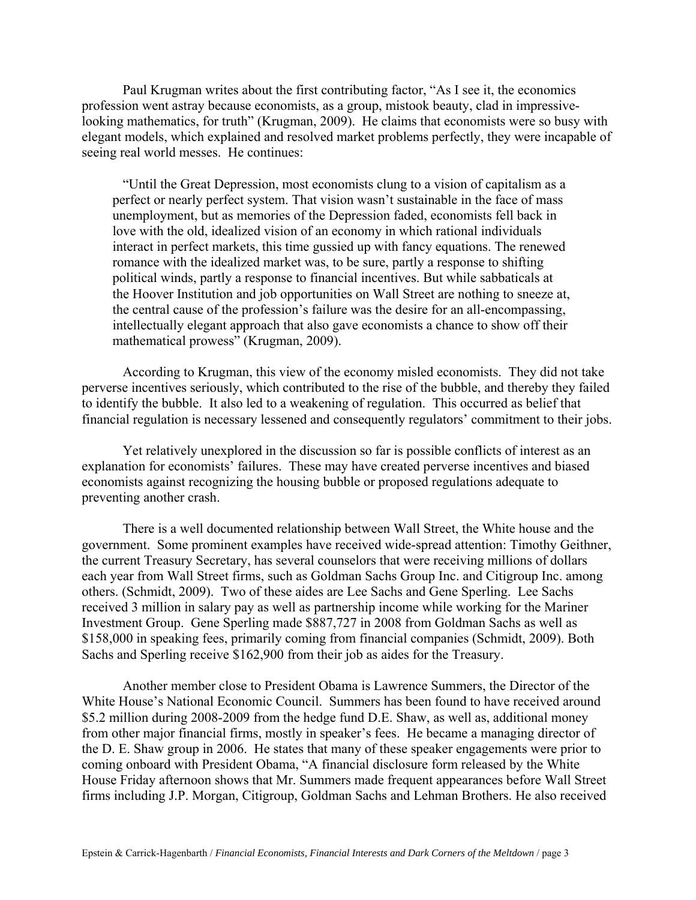Paul Krugman writes about the first contributing factor, "As I see it, the economics profession went astray because economists, as a group, mistook beauty, clad in impressivelooking mathematics, for truth" (Krugman, 2009). He claims that economists were so busy with elegant models, which explained and resolved market problems perfectly, they were incapable of seeing real world messes. He continues:

 "Until the Great Depression, most economists clung to a vision of capitalism as a perfect or nearly perfect system. That vision wasn't sustainable in the face of mass unemployment, but as memories of the Depression faded, economists fell back in love with the old, idealized vision of an economy in which rational individuals interact in perfect markets, this time gussied up with fancy equations. The renewed romance with the idealized market was, to be sure, partly a response to shifting political winds, partly a response to financial incentives. But while sabbaticals at the Hoover Institution and job opportunities on Wall Street are nothing to sneeze at, the central cause of the profession's failure was the desire for an all-encompassing, intellectually elegant approach that also gave economists a chance to show off their mathematical prowess" (Krugman, 2009).

 According to Krugman, this view of the economy misled economists. They did not take perverse incentives seriously, which contributed to the rise of the bubble, and thereby they failed to identify the bubble. It also led to a weakening of regulation. This occurred as belief that financial regulation is necessary lessened and consequently regulators' commitment to their jobs.

 Yet relatively unexplored in the discussion so far is possible conflicts of interest as an explanation for economists' failures. These may have created perverse incentives and biased economists against recognizing the housing bubble or proposed regulations adequate to preventing another crash.

 There is a well documented relationship between Wall Street, the White house and the government. Some prominent examples have received wide-spread attention: Timothy Geithner, the current Treasury Secretary, has several counselors that were receiving millions of dollars each year from Wall Street firms, such as Goldman Sachs Group Inc. and Citigroup Inc. among others. (Schmidt, 2009). Two of these aides are Lee Sachs and Gene Sperling. Lee Sachs received 3 million in salary pay as well as partnership income while working for the Mariner Investment Group. Gene Sperling made \$887,727 in 2008 from Goldman Sachs as well as \$158,000 in speaking fees, primarily coming from financial companies (Schmidt, 2009). Both Sachs and Sperling receive \$162,900 from their job as aides for the Treasury.

Another member close to President Obama is Lawrence Summers, the Director of the White House's National Economic Council. Summers has been found to have received around \$5.2 million during 2008-2009 from the hedge fund D.E. Shaw, as well as, additional money from other major financial firms, mostly in speaker's fees. He became a managing director of the D. E. Shaw group in 2006. He states that many of these speaker engagements were prior to coming onboard with President Obama, "A financial disclosure form released by the White House Friday afternoon shows that Mr. Summers made frequent appearances before Wall Street firms including J.P. Morgan, Citigroup, Goldman Sachs and Lehman Brothers. He also received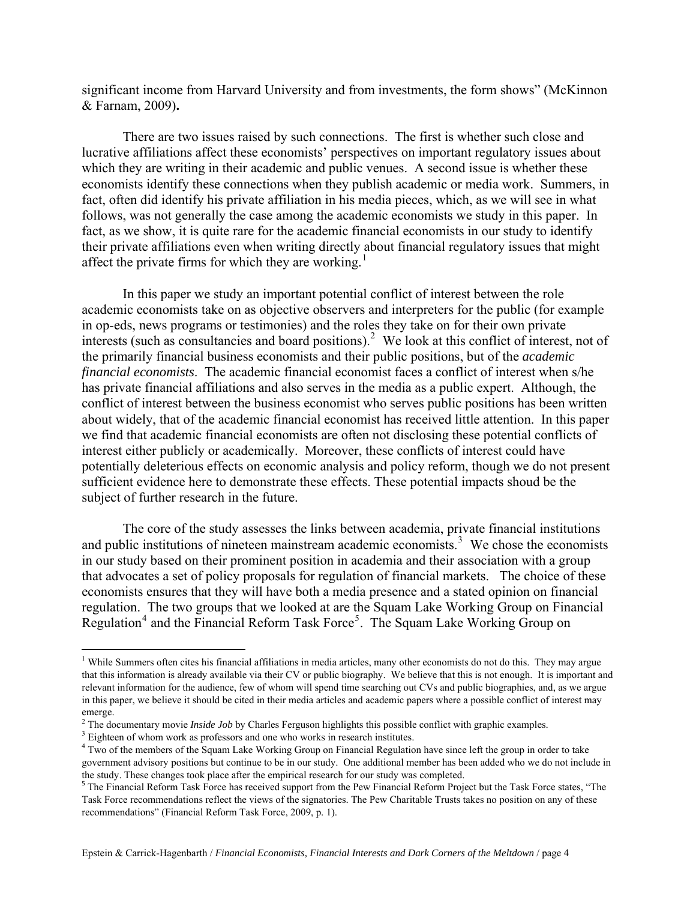significant income from Harvard University and from investments, the form shows" (McKinnon & Farnam, 2009)**.** 

There are two issues raised by such connections. The first is whether such close and lucrative affiliations affect these economists' perspectives on important regulatory issues about which they are writing in their academic and public venues. A second issue is whether these economists identify these connections when they publish academic or media work. Summers, in fact, often did identify his private affiliation in his media pieces, which, as we will see in what follows, was not generally the case among the academic economists we study in this paper. In fact, as we show, it is quite rare for the academic financial economists in our study to identify their private affiliations even when writing directly about financial regulatory issues that might affect the private firms for which they are working.<sup>[1](#page-5-0)</sup>

In this paper we study an important potential conflict of interest between the role academic economists take on as objective observers and interpreters for the public (for example in op-eds, news programs or testimonies) and the roles they take on for their own private interests (such as consultancies and board positions).<sup>[2](#page-5-1)</sup> We look at this conflict of interest, not of the primarily financial business economists and their public positions, but of the *academic financial economists*. The academic financial economist faces a conflict of interest when s/he has private financial affiliations and also serves in the media as a public expert. Although, the conflict of interest between the business economist who serves public positions has been written about widely, that of the academic financial economist has received little attention. In this paper we find that academic financial economists are often not disclosing these potential conflicts of interest either publicly or academically. Moreover, these conflicts of interest could have potentially deleterious effects on economic analysis and policy reform, though we do not present sufficient evidence here to demonstrate these effects. These potential impacts shoud be the subject of further research in the future.

The core of the study assesses the links between academia, private financial institutions and public institutions of nineteen mainstream academic economists.<sup>[3](#page-5-2)</sup> We chose the economists in our study based on their prominent position in academia and their association with a group that advocates a set of policy proposals for regulation of financial markets. The choice of these economists ensures that they will have both a media presence and a stated opinion on financial regulation. The two groups that we looked at are the Squam Lake Working Group on Financial Regulation<sup>[4](#page-5-3)</sup> and the Financial Reform Task Force<sup>[5](#page-5-4)</sup>. The Squam Lake Working Group on

 $\overline{a}$ 

<span id="page-5-0"></span><sup>&</sup>lt;sup>1</sup> While Summers often cites his financial affiliations in media articles, many other economists do not do this. They may argue that this information is already available via their CV or public biography. We believe that this is not enough. It is important and relevant information for the audience, few of whom will spend time searching out CVs and public biographies, and, as we argue in this paper, we believe it should be cited in their media articles and academic papers where a possible conflict of interest may emerge.

<sup>&</sup>lt;sup>2</sup> The documentary movie *Inside Job* by Charles Ferguson highlights this possible conflict with graphic examples.  $\frac{3}{2}$  Eightson of whom work as professors and one who works in receptible intitutes.

<span id="page-5-2"></span><span id="page-5-1"></span><sup>&</sup>lt;sup>3</sup> Eighteen of whom work as professors and one who works in research institutes.

<span id="page-5-3"></span><sup>&</sup>lt;sup>4</sup> Two of the members of the Squam Lake Working Group on Financial Regulation have since left the group in order to take government advisory positions but continue to be in our study. One additional member has been added who we do not include in the study. These changes took place after the empirical research for our study was completed.

<span id="page-5-4"></span><sup>&</sup>lt;sup>5</sup> The Financial Reform Task Force has received support from the Pew Financial Reform Project but the Task Force states, "The Task Force recommendations reflect the views of the signatories. The Pew Charitable Trusts takes no position on any of these recommendations" (Financial Reform Task Force, 2009, p. 1).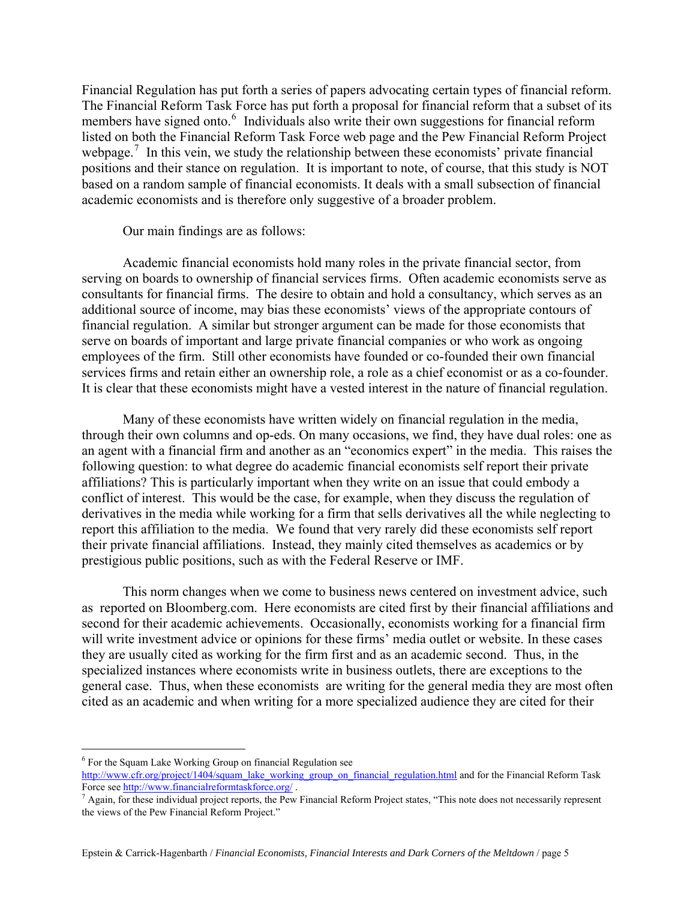Financial Regulation has put forth a series of papers advocating certain types of financial reform. The Financial Reform Task Force has put forth a proposal for financial reform that a subset of its members have signed onto.<sup>[6](#page-6-0)</sup> Individuals also write their own suggestions for financial reform listed on both the Financial Reform Task Force web page and the Pew Financial Reform Project webpage.<sup>[7](#page-6-1)</sup> In this vein, we study the relationship between these economists' private financial positions and their stance on regulation. It is important to note, of course, that this study is NOT based on a random sample of financial economists. It deals with a small subsection of financial academic economists and is therefore only suggestive of a broader problem.

#### Our main findings are as follows:

Academic financial economists hold many roles in the private financial sector, from serving on boards to ownership of financial services firms. Often academic economists serve as consultants for financial firms. The desire to obtain and hold a consultancy, which serves as an additional source of income, may bias these economists' views of the appropriate contours of financial regulation. A similar but stronger argument can be made for those economists that serve on boards of important and large private financial companies or who work as ongoing employees of the firm. Still other economists have founded or co-founded their own financial services firms and retain either an ownership role, a role as a chief economist or as a co-founder. It is clear that these economists might have a vested interest in the nature of financial regulation.

Many of these economists have written widely on financial regulation in the media, through their own columns and op-eds. On many occasions, we find, they have dual roles: one as an agent with a financial firm and another as an "economics expert" in the media. This raises the following question: to what degree do academic financial economists self report their private affiliations? This is particularly important when they write on an issue that could embody a conflict of interest. This would be the case, for example, when they discuss the regulation of derivatives in the media while working for a firm that sells derivatives all the while neglecting to report this affiliation to the media. We found that very rarely did these economists self report their private financial affiliations. Instead, they mainly cited themselves as academics or by prestigious public positions, such as with the Federal Reserve or IMF.

This norm changes when we come to business news centered on investment advice, such as reported on Bloomberg.com. Here economists are cited first by their financial affiliations and second for their academic achievements. Occasionally, economists working for a financial firm will write investment advice or opinions for these firms' media outlet or website. In these cases they are usually cited as working for the firm first and as an academic second. Thus, in the specialized instances where economists write in business outlets, there are exceptions to the general case. Thus, when these economists are writing for the general media they are most often cited as an academic and when writing for a more specialized audience they are cited for their

 $\overline{a}$ 

<span id="page-6-0"></span><sup>&</sup>lt;sup>6</sup> For the Squam Lake Working Group on financial Regulation see

[http://www.cfr.org/project/1404/squam\\_lake\\_working\\_group\\_on\\_financial\\_regulation.html](http://www.cfr.org/project/1404/squam_lake_working_group_on_financial_regulation.html) and for the Financial Reform Task Force see<http://www.financialreformtaskforce.org/>.

<span id="page-6-1"></span> $^7$  Again, for these individual project reports, the Pew Financial Reform Project states, "This note does not necessarily represent the views of the Pew Financial Reform Project."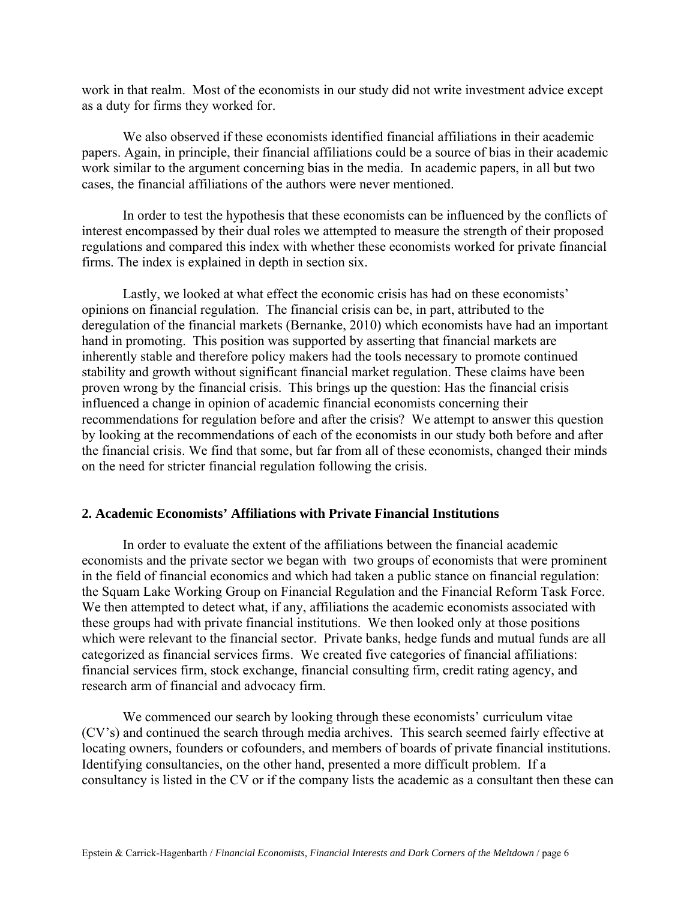work in that realm. Most of the economists in our study did not write investment advice except as a duty for firms they worked for.

We also observed if these economists identified financial affiliations in their academic papers. Again, in principle, their financial affiliations could be a source of bias in their academic work similar to the argument concerning bias in the media. In academic papers, in all but two cases, the financial affiliations of the authors were never mentioned.

In order to test the hypothesis that these economists can be influenced by the conflicts of interest encompassed by their dual roles we attempted to measure the strength of their proposed regulations and compared this index with whether these economists worked for private financial firms. The index is explained in depth in section six.

Lastly, we looked at what effect the economic crisis has had on these economists' opinions on financial regulation. The financial crisis can be, in part, attributed to the deregulation of the financial markets (Bernanke, 2010) which economists have had an important hand in promoting. This position was supported by asserting that financial markets are inherently stable and therefore policy makers had the tools necessary to promote continued stability and growth without significant financial market regulation. These claims have been proven wrong by the financial crisis. This brings up the question: Has the financial crisis influenced a change in opinion of academic financial economists concerning their recommendations for regulation before and after the crisis? We attempt to answer this question by looking at the recommendations of each of the economists in our study both before and after the financial crisis. We find that some, but far from all of these economists, changed their minds on the need for stricter financial regulation following the crisis.

#### **2. Academic Economists' Affiliations with Private Financial Institutions**

In order to evaluate the extent of the affiliations between the financial academic economists and the private sector we began with two groups of economists that were prominent in the field of financial economics and which had taken a public stance on financial regulation: the Squam Lake Working Group on Financial Regulation and the Financial Reform Task Force. We then attempted to detect what, if any, affiliations the academic economists associated with these groups had with private financial institutions. We then looked only at those positions which were relevant to the financial sector. Private banks, hedge funds and mutual funds are all categorized as financial services firms. We created five categories of financial affiliations: financial services firm, stock exchange, financial consulting firm, credit rating agency, and research arm of financial and advocacy firm.

We commenced our search by looking through these economists' curriculum vitae (CV's) and continued the search through media archives. This search seemed fairly effective at locating owners, founders or cofounders, and members of boards of private financial institutions. Identifying consultancies, on the other hand, presented a more difficult problem. If a consultancy is listed in the CV or if the company lists the academic as a consultant then these can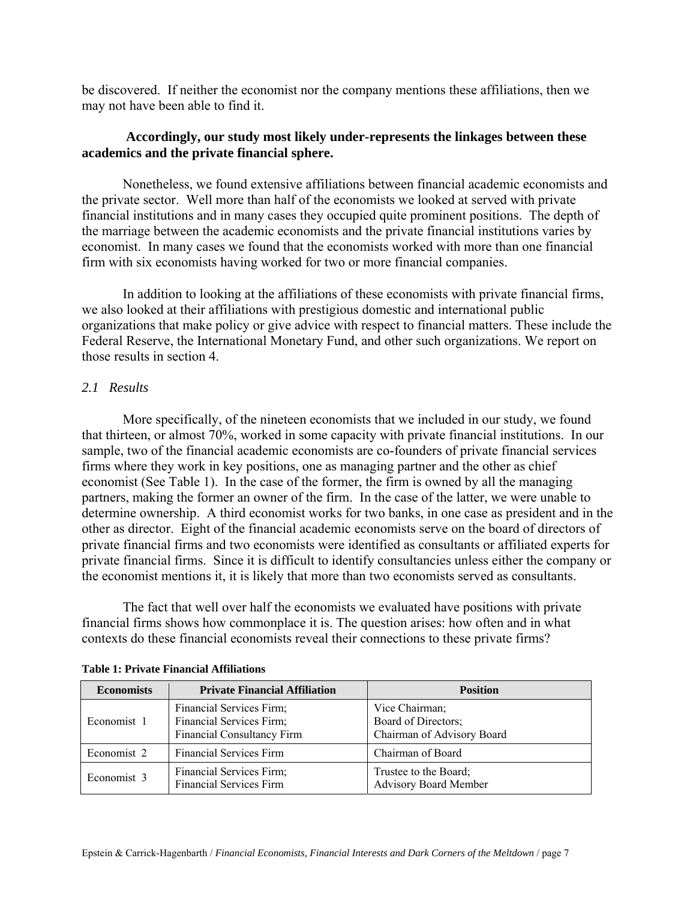be discovered. If neither the economist nor the company mentions these affiliations, then we may not have been able to find it.

#### **Accordingly, our study most likely under-represents the linkages between these academics and the private financial sphere.**

Nonetheless, we found extensive affiliations between financial academic economists and the private sector.Well more than half of the economists we looked at served with private financial institutions and in many cases they occupied quite prominent positions. The depth of the marriage between the academic economists and the private financial institutions varies by economist. In many cases we found that the economists worked with more than one financial firm with six economists having worked for two or more financial companies.

In addition to looking at the affiliations of these economists with private financial firms, we also looked at their affiliations with prestigious domestic and international public organizations that make policy or give advice with respect to financial matters. These include the Federal Reserve, the International Monetary Fund, and other such organizations. We report on those results in section 4.

#### *2.1 Results*

More specifically, of the nineteen economists that we included in our study, we found that thirteen, or almost 70%, worked in some capacity with private financial institutions. In our sample, two of the financial academic economists are co-founders of private financial services firms where they work in key positions, one as managing partner and the other as chief economist (See Table 1). In the case of the former, the firm is owned by all the managing partners, making the former an owner of the firm. In the case of the latter, we were unable to determine ownership. A third economist works for two banks, in one case as president and in the other as director. Eight of the financial academic economists serve on the board of directors of private financial firms and two economists were identified as consultants or affiliated experts for private financial firms. Since it is difficult to identify consultancies unless either the company or the economist mentions it, it is likely that more than two economists served as consultants.

The fact that well over half the economists we evaluated have positions with private financial firms shows how commonplace it is. The question arises: how often and in what contexts do these financial economists reveal their connections to these private firms?

| <b>Economists</b> | <b>Private Financial Affiliation</b>                                               | <b>Position</b>                                                     |
|-------------------|------------------------------------------------------------------------------------|---------------------------------------------------------------------|
| Economist 1       | Financial Services Firm;<br>Financial Services Firm;<br>Financial Consultancy Firm | Vice Chairman;<br>Board of Directors;<br>Chairman of Advisory Board |
| Economist 2       | <b>Financial Services Firm</b>                                                     | Chairman of Board                                                   |
| Economist 3       | Financial Services Firm;<br><b>Financial Services Firm</b>                         | Trustee to the Board;<br><b>Advisory Board Member</b>               |

#### **Table 1: Private Financial Affiliations**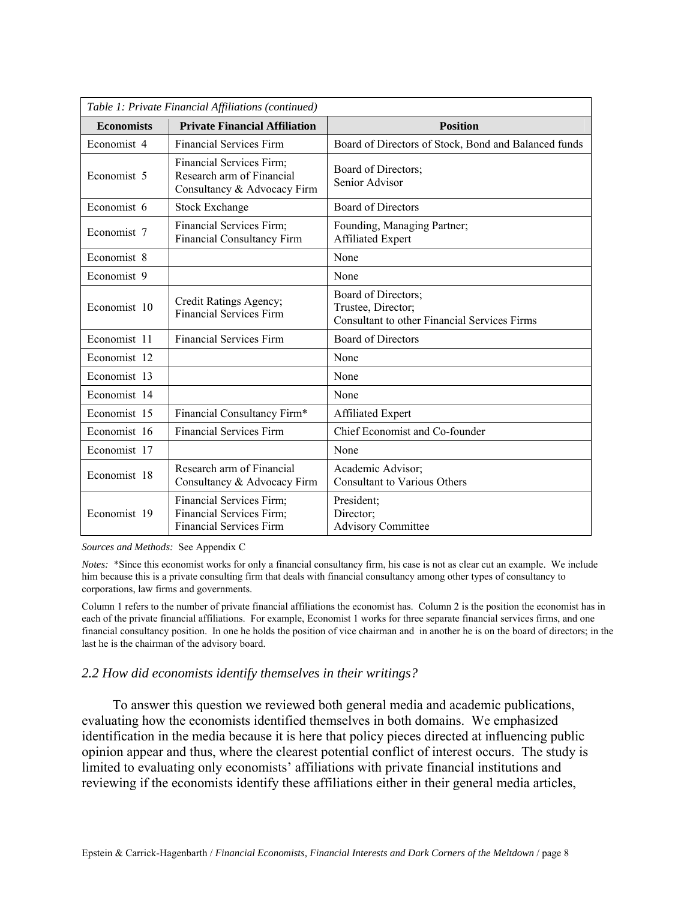| Table 1: Private Financial Affiliations (continued) |                                                                                        |                                                                                                  |  |
|-----------------------------------------------------|----------------------------------------------------------------------------------------|--------------------------------------------------------------------------------------------------|--|
| <b>Economists</b>                                   | <b>Private Financial Affiliation</b>                                                   | <b>Position</b>                                                                                  |  |
| Economist 4                                         | <b>Financial Services Firm</b>                                                         | Board of Directors of Stock, Bond and Balanced funds                                             |  |
| Economist 5                                         | Financial Services Firm;<br>Research arm of Financial<br>Consultancy & Advocacy Firm   | Board of Directors;<br>Senior Advisor                                                            |  |
| Economist 6                                         | <b>Stock Exchange</b>                                                                  | <b>Board of Directors</b>                                                                        |  |
| Economist 7                                         | Financial Services Firm;<br><b>Financial Consultancy Firm</b>                          | Founding, Managing Partner;<br>Affiliated Expert                                                 |  |
| Economist 8                                         |                                                                                        | None                                                                                             |  |
| Economist 9                                         |                                                                                        | None                                                                                             |  |
| Economist 10                                        | Credit Ratings Agency;<br><b>Financial Services Firm</b>                               | Board of Directors;<br>Trustee, Director;<br><b>Consultant to other Financial Services Firms</b> |  |
| Economist 11                                        | <b>Financial Services Firm</b>                                                         | <b>Board of Directors</b>                                                                        |  |
| Economist 12                                        |                                                                                        | None                                                                                             |  |
| Economist 13                                        |                                                                                        | None                                                                                             |  |
| Economist 14                                        |                                                                                        | None                                                                                             |  |
| Economist 15                                        | Financial Consultancy Firm*                                                            | <b>Affiliated Expert</b>                                                                         |  |
| Economist 16                                        | <b>Financial Services Firm</b>                                                         | Chief Economist and Co-founder                                                                   |  |
| Economist 17                                        |                                                                                        | None                                                                                             |  |
| Economist 18                                        | Research arm of Financial<br>Consultancy & Advocacy Firm                               | Academic Advisor;<br><b>Consultant to Various Others</b>                                         |  |
| Economist 19                                        | Financial Services Firm;<br>Financial Services Firm;<br><b>Financial Services Firm</b> | President;<br>Director;<br><b>Advisory Committee</b>                                             |  |

*Sources and Methods:* See Appendix C

*Notes:* \*Since this economist works for only a financial consultancy firm, his case is not as clear cut an example. We include him because this is a private consulting firm that deals with financial consultancy among other types of consultancy to corporations, law firms and governments.

Column 1 refers to the number of private financial affiliations the economist has. Column 2 is the position the economist has in each of the private financial affiliations. For example, Economist 1 works for three separate financial services firms, and one financial consultancy position. In one he holds the position of vice chairman and in another he is on the board of directors; in the last he is the chairman of the advisory board.

#### *2.2 How did economists identify themselves in their writings?*

To answer this question we reviewed both general media and academic publications, evaluating how the economists identified themselves in both domains. We emphasized identification in the media because it is here that policy pieces directed at influencing public opinion appear and thus, where the clearest potential conflict of interest occurs. The study is limited to evaluating only economists' affiliations with private financial institutions and reviewing if the economists identify these affiliations either in their general media articles,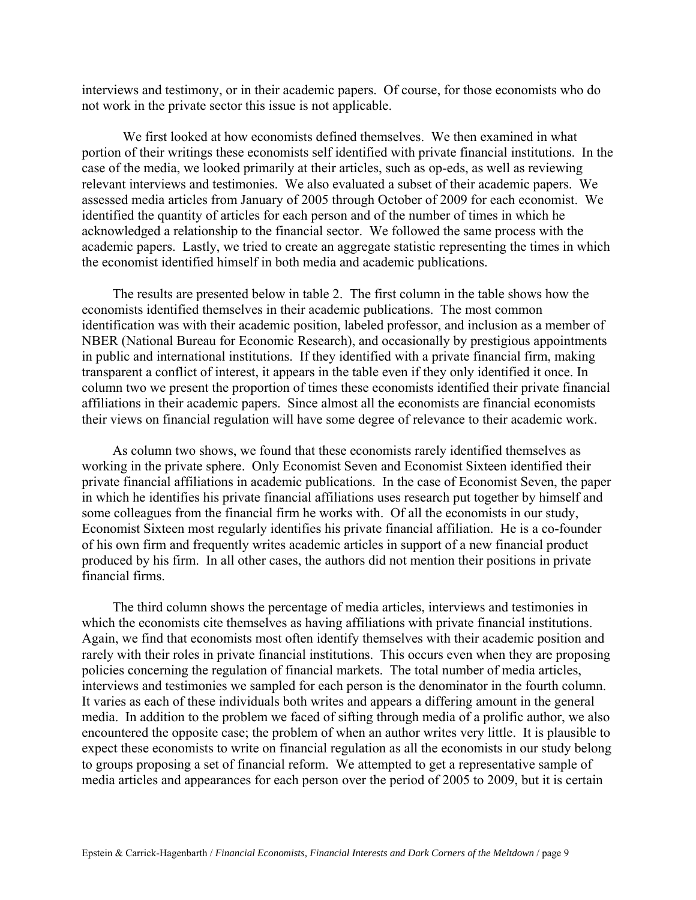interviews and testimony, or in their academic papers. Of course, for those economists who do not work in the private sector this issue is not applicable.

We first looked at how economists defined themselves. We then examined in what portion of their writings these economists self identified with private financial institutions. In the case of the media, we looked primarily at their articles, such as op-eds, as well as reviewing relevant interviews and testimonies. We also evaluated a subset of their academic papers. We assessed media articles from January of 2005 through October of 2009 for each economist. We identified the quantity of articles for each person and of the number of times in which he acknowledged a relationship to the financial sector. We followed the same process with the academic papers. Lastly, we tried to create an aggregate statistic representing the times in which the economist identified himself in both media and academic publications.

The results are presented below in table 2. The first column in the table shows how the economists identified themselves in their academic publications. The most common identification was with their academic position, labeled professor, and inclusion as a member of NBER (National Bureau for Economic Research), and occasionally by prestigious appointments in public and international institutions. If they identified with a private financial firm, making transparent a conflict of interest, it appears in the table even if they only identified it once. In column two we present the proportion of times these economists identified their private financial affiliations in their academic papers. Since almost all the economists are financial economists their views on financial regulation will have some degree of relevance to their academic work.

As column two shows, we found that these economists rarely identified themselves as working in the private sphere. Only Economist Seven and Economist Sixteen identified their private financial affiliations in academic publications. In the case of Economist Seven, the paper in which he identifies his private financial affiliations uses research put together by himself and some colleagues from the financial firm he works with. Of all the economists in our study, Economist Sixteen most regularly identifies his private financial affiliation. He is a co-founder of his own firm and frequently writes academic articles in support of a new financial product produced by his firm. In all other cases, the authors did not mention their positions in private financial firms.

The third column shows the percentage of media articles, interviews and testimonies in which the economists cite themselves as having affiliations with private financial institutions. Again, we find that economists most often identify themselves with their academic position and rarely with their roles in private financial institutions. This occurs even when they are proposing policies concerning the regulation of financial markets. The total number of media articles, interviews and testimonies we sampled for each person is the denominator in the fourth column. It varies as each of these individuals both writes and appears a differing amount in the general media. In addition to the problem we faced of sifting through media of a prolific author, we also encountered the opposite case; the problem of when an author writes very little. It is plausible to expect these economists to write on financial regulation as all the economists in our study belong to groups proposing a set of financial reform. We attempted to get a representative sample of media articles and appearances for each person over the period of 2005 to 2009, but it is certain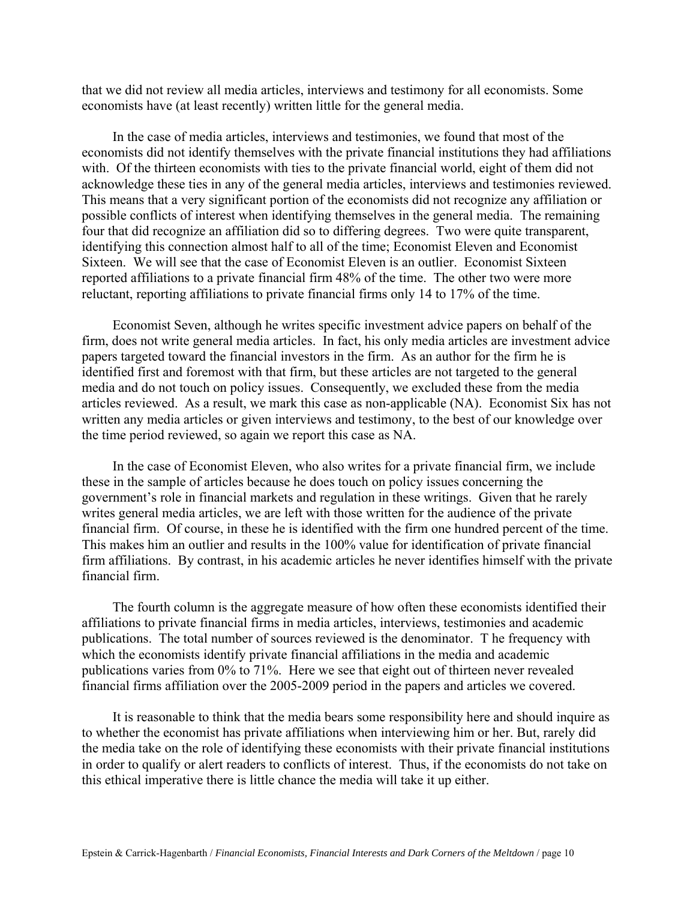that we did not review all media articles, interviews and testimony for all economists. Some economists have (at least recently) written little for the general media.

In the case of media articles, interviews and testimonies, we found that most of the economists did not identify themselves with the private financial institutions they had affiliations with. Of the thirteen economists with ties to the private financial world, eight of them did not acknowledge these ties in any of the general media articles, interviews and testimonies reviewed. This means that a very significant portion of the economists did not recognize any affiliation or possible conflicts of interest when identifying themselves in the general media. The remaining four that did recognize an affiliation did so to differing degrees. Two were quite transparent, identifying this connection almost half to all of the time; Economist Eleven and Economist Sixteen. We will see that the case of Economist Eleven is an outlier. Economist Sixteen reported affiliations to a private financial firm 48% of the time. The other two were more reluctant, reporting affiliations to private financial firms only 14 to 17% of the time.

Economist Seven, although he writes specific investment advice papers on behalf of the firm, does not write general media articles. In fact, his only media articles are investment advice papers targeted toward the financial investors in the firm. As an author for the firm he is identified first and foremost with that firm, but these articles are not targeted to the general media and do not touch on policy issues. Consequently, we excluded these from the media articles reviewed. As a result, we mark this case as non-applicable (NA). Economist Six has not written any media articles or given interviews and testimony, to the best of our knowledge over the time period reviewed, so again we report this case as NA.

In the case of Economist Eleven, who also writes for a private financial firm, we include these in the sample of articles because he does touch on policy issues concerning the government's role in financial markets and regulation in these writings. Given that he rarely writes general media articles, we are left with those written for the audience of the private financial firm. Of course, in these he is identified with the firm one hundred percent of the time. This makes him an outlier and results in the 100% value for identification of private financial firm affiliations. By contrast, in his academic articles he never identifies himself with the private financial firm.

The fourth column is the aggregate measure of how often these economists identified their affiliations to private financial firms in media articles, interviews, testimonies and academic publications. The total number of sources reviewed is the denominator. T he frequency with which the economists identify private financial affiliations in the media and academic publications varies from 0% to 71%. Here we see that eight out of thirteen never revealed financial firms affiliation over the 2005-2009 period in the papers and articles we covered.

It is reasonable to think that the media bears some responsibility here and should inquire as to whether the economist has private affiliations when interviewing him or her. But, rarely did the media take on the role of identifying these economists with their private financial institutions in order to qualify or alert readers to conflicts of interest. Thus, if the economists do not take on this ethical imperative there is little chance the media will take it up either.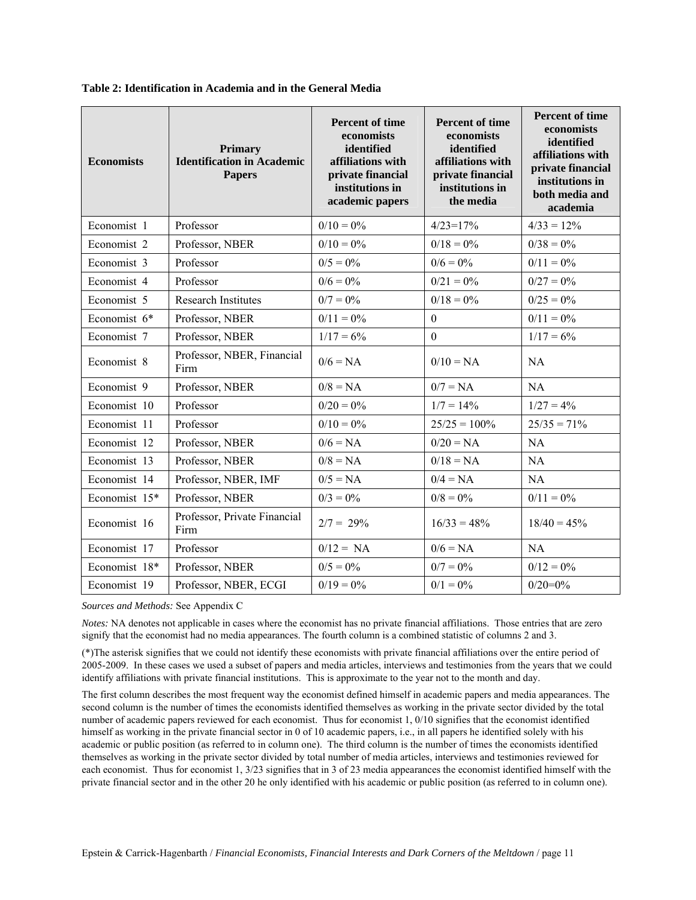| <b>Economists</b> | <b>Primary</b><br><b>Identification in Academic</b><br><b>Papers</b> | <b>Percent of time</b><br>economists<br>identified<br>affiliations with<br>private financial<br>institutions in<br>academic papers | <b>Percent of time</b><br>economists<br>identified<br>affiliations with<br>private financial<br>institutions in<br>the media | <b>Percent of time</b><br>economists<br>identified<br>affiliations with<br>private financial<br>institutions in<br>both media and<br>academia |
|-------------------|----------------------------------------------------------------------|------------------------------------------------------------------------------------------------------------------------------------|------------------------------------------------------------------------------------------------------------------------------|-----------------------------------------------------------------------------------------------------------------------------------------------|
| Economist 1       | Professor                                                            | $0/10 = 0\%$                                                                                                                       | $4/23=17%$                                                                                                                   | $4/33 = 12\%$                                                                                                                                 |
| Economist 2       | Professor, NBER                                                      | $0/10 = 0\%$                                                                                                                       | $0/18 = 0\%$                                                                                                                 | $0/38 = 0\%$                                                                                                                                  |
| Economist 3       | Professor                                                            | $0/5 = 0\%$                                                                                                                        | $0/6 = 0\%$                                                                                                                  | $0/11 = 0\%$                                                                                                                                  |
| Economist 4       | Professor                                                            | $0/6 = 0\%$                                                                                                                        | $0/21 = 0\%$                                                                                                                 | $0/27 = 0\%$                                                                                                                                  |
| Economist 5       | <b>Research Institutes</b>                                           | $0/7 = 0\%$                                                                                                                        | $0/18 = 0\%$                                                                                                                 | $0/25 = 0\%$                                                                                                                                  |
| Economist 6*      | Professor, NBER                                                      | $0/11 = 0\%$                                                                                                                       | $\overline{0}$                                                                                                               | $0/11 = 0\%$                                                                                                                                  |
| Economist 7       | Professor, NBER                                                      | $1/17 = 6\%$                                                                                                                       | $\theta$                                                                                                                     | $1/17 = 6\%$                                                                                                                                  |
| Economist 8       | Professor, NBER, Financial<br>Firm                                   | $0/6 = NA$                                                                                                                         | $0/10 = NA$                                                                                                                  | <b>NA</b>                                                                                                                                     |
| Economist 9       | Professor, NBER                                                      | $0/8 = NA$                                                                                                                         | $0/7 = NA$                                                                                                                   | NA                                                                                                                                            |
| Economist 10      | Professor                                                            | $0/20 = 0\%$                                                                                                                       | $1/7 = 14\%$                                                                                                                 | $1/27 = 4\%$                                                                                                                                  |
| Economist 11      | Professor                                                            | $0/10 = 0\%$                                                                                                                       | $25/25 = 100\%$                                                                                                              | $25/35 = 71\%$                                                                                                                                |
| Economist 12      | Professor, NBER                                                      | $0/6 = NA$                                                                                                                         | $0/20 = NA$                                                                                                                  | NA                                                                                                                                            |
| Economist 13      | Professor, NBER                                                      | $0/8 = NA$                                                                                                                         | $0/18 = NA$                                                                                                                  | <b>NA</b>                                                                                                                                     |
| Economist 14      | Professor, NBER, IMF                                                 | $0/5 = NA$                                                                                                                         | $0/4 = NA$                                                                                                                   | <b>NA</b>                                                                                                                                     |
| Economist 15*     | Professor, NBER                                                      | $0/3 = 0\%$                                                                                                                        | $0/8 = 0\%$                                                                                                                  | $0/11 = 0\%$                                                                                                                                  |
| Economist 16      | Professor, Private Financial<br>Firm                                 | $2/7 = 29\%$                                                                                                                       | $16/33 = 48\%$                                                                                                               | $18/40 = 45%$                                                                                                                                 |
| Economist 17      | Professor                                                            | $0/12 = NA$                                                                                                                        | $0/6 = NA$                                                                                                                   | <b>NA</b>                                                                                                                                     |
| Economist 18*     | Professor, NBER                                                      | $0/5 = 0\%$                                                                                                                        | $0/7 = 0\%$                                                                                                                  | $0/12 = 0\%$                                                                                                                                  |
| Economist 19      | Professor, NBER, ECGI                                                | $0/19 = 0\%$                                                                                                                       | $0/1 = 0\%$                                                                                                                  | $0/20=0%$                                                                                                                                     |

**Table 2: Identification in Academia and in the General Media** 

*Sources and Methods:* See Appendix C

*Notes:* NA denotes not applicable in cases where the economist has no private financial affiliations. Those entries that are zero signify that the economist had no media appearances. The fourth column is a combined statistic of columns 2 and 3.

(\*)The asterisk signifies that we could not identify these economists with private financial affiliations over the entire period of 2005-2009. In these cases we used a subset of papers and media articles, interviews and testimonies from the years that we could identify affiliations with private financial institutions. This is approximate to the year not to the month and day.

The first column describes the most frequent way the economist defined himself in academic papers and media appearances. The second column is the number of times the economists identified themselves as working in the private sector divided by the total number of academic papers reviewed for each economist. Thus for economist 1, 0/10 signifies that the economist identified himself as working in the private financial sector in 0 of 10 academic papers, i.e., in all papers he identified solely with his academic or public position (as referred to in column one). The third column is the number of times the economists identified themselves as working in the private sector divided by total number of media articles, interviews and testimonies reviewed for each economist. Thus for economist 1, 3/23 signifies that in 3 of 23 media appearances the economist identified himself with the private financial sector and in the other 20 he only identified with his academic or public position (as referred to in column one).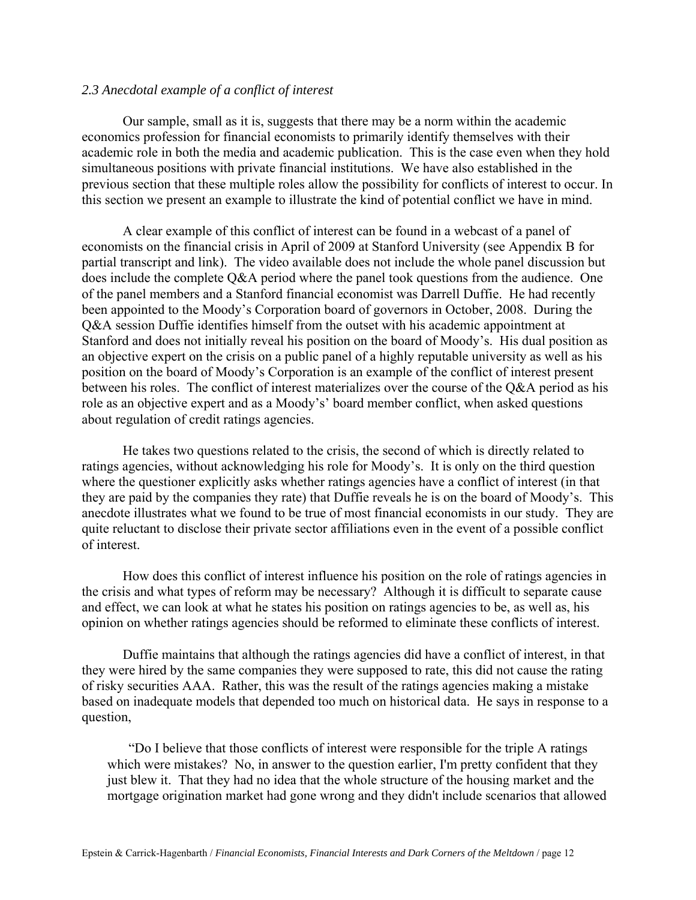#### *2.3 Anecdotal example of a conflict of interest*

Our sample, small as it is, suggests that there may be a norm within the academic economics profession for financial economists to primarily identify themselves with their academic role in both the media and academic publication. This is the case even when they hold simultaneous positions with private financial institutions. We have also established in the previous section that these multiple roles allow the possibility for conflicts of interest to occur. In this section we present an example to illustrate the kind of potential conflict we have in mind.

A clear example of this conflict of interest can be found in a webcast of a panel of economists on the financial crisis in April of 2009 at Stanford University (see Appendix B for partial transcript and link). The video available does not include the whole panel discussion but does include the complete Q&A period where the panel took questions from the audience. One of the panel members and a Stanford financial economist was Darrell Duffie. He had recently been appointed to the Moody's Corporation board of governors in October, 2008. During the Q&A session Duffie identifies himself from the outset with his academic appointment at Stanford and does not initially reveal his position on the board of Moody's. His dual position as an objective expert on the crisis on a public panel of a highly reputable university as well as his position on the board of Moody's Corporation is an example of the conflict of interest present between his roles. The conflict of interest materializes over the course of the Q&A period as his role as an objective expert and as a Moody's' board member conflict, when asked questions about regulation of credit ratings agencies.

He takes two questions related to the crisis, the second of which is directly related to ratings agencies, without acknowledging his role for Moody's. It is only on the third question where the questioner explicitly asks whether ratings agencies have a conflict of interest (in that they are paid by the companies they rate) that Duffie reveals he is on the board of Moody's. This anecdote illustrates what we found to be true of most financial economists in our study. They are quite reluctant to disclose their private sector affiliations even in the event of a possible conflict of interest.

How does this conflict of interest influence his position on the role of ratings agencies in the crisis and what types of reform may be necessary? Although it is difficult to separate cause and effect, we can look at what he states his position on ratings agencies to be, as well as, his opinion on whether ratings agencies should be reformed to eliminate these conflicts of interest.

Duffie maintains that although the ratings agencies did have a conflict of interest, in that they were hired by the same companies they were supposed to rate, this did not cause the rating of risky securities AAA. Rather, this was the result of the ratings agencies making a mistake based on inadequate models that depended too much on historical data. He says in response to a question,

 "Do I believe that those conflicts of interest were responsible for the triple A ratings which were mistakes? No, in answer to the question earlier. I'm pretty confident that they just blew it. That they had no idea that the whole structure of the housing market and the mortgage origination market had gone wrong and they didn't include scenarios that allowed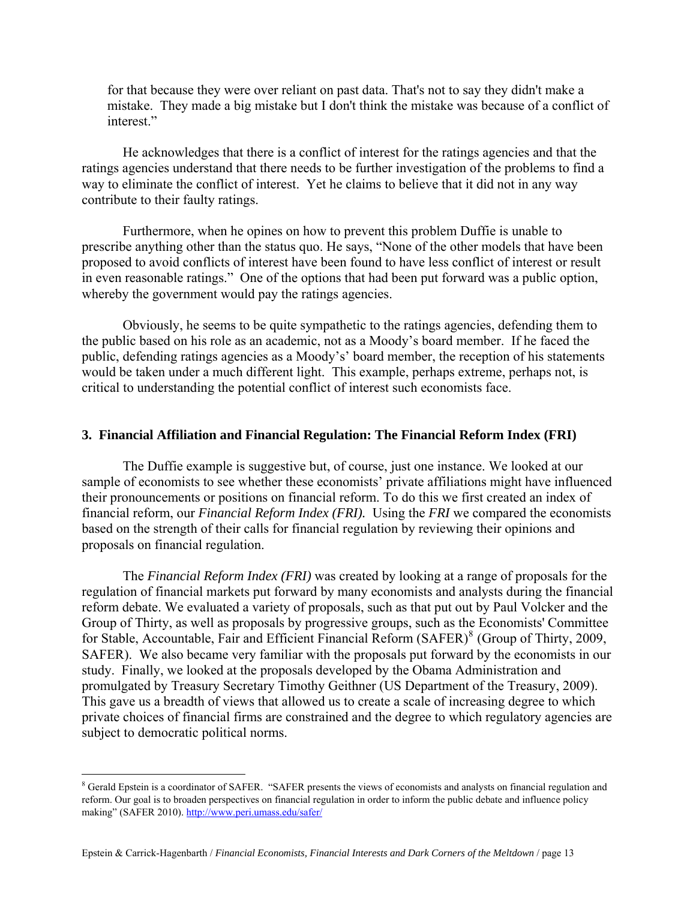for that because they were over reliant on past data. That's not to say they didn't make a mistake. They made a big mistake but I don't think the mistake was because of a conflict of interest."

 He acknowledges that there is a conflict of interest for the ratings agencies and that the ratings agencies understand that there needs to be further investigation of the problems to find a way to eliminate the conflict of interest. Yet he claims to believe that it did not in any way contribute to their faulty ratings.

Furthermore, when he opines on how to prevent this problem Duffie is unable to prescribe anything other than the status quo. He says, "None of the other models that have been proposed to avoid conflicts of interest have been found to have less conflict of interest or result in even reasonable ratings." One of the options that had been put forward was a public option, whereby the government would pay the ratings agencies.

Obviously, he seems to be quite sympathetic to the ratings agencies, defending them to the public based on his role as an academic, not as a Moody's board member. If he faced the public, defending ratings agencies as a Moody's' board member, the reception of his statements would be taken under a much different light. This example, perhaps extreme, perhaps not, is critical to understanding the potential conflict of interest such economists face.

#### **3. Financial Affiliation and Financial Regulation: The Financial Reform Index (FRI)**

The Duffie example is suggestive but, of course, just one instance. We looked at our sample of economists to see whether these economists' private affiliations might have influenced their pronouncements or positions on financial reform. To do this we first created an index of financial reform, our *Financial Reform Index (FRI).* Using the *FRI* we compared the economists based on the strength of their calls for financial regulation by reviewing their opinions and proposals on financial regulation.

The *Financial Reform Index (FRI)* was created by looking at a range of proposals for the regulation of financial markets put forward by many economists and analysts during the financial reform debate. We evaluated a variety of proposals, such as that put out by Paul Volcker and the Group of Thirty, as well as proposals by progressive groups, such as the Economists' Committee for Stable, Accountable, Fair and Efficient Financial Reform (SAFER)<sup>[8](#page-14-0)</sup> (Group of Thirty, 2009, SAFER). We also became very familiar with the proposals put forward by the economists in our study. Finally, we looked at the proposals developed by the Obama Administration and promulgated by Treasury Secretary Timothy Geithner (US Department of the Treasury, 2009). This gave us a breadth of views that allowed us to create a scale of increasing degree to which private choices of financial firms are constrained and the degree to which regulatory agencies are subject to democratic political norms.

1

<span id="page-14-0"></span><sup>&</sup>lt;sup>8</sup> Gerald Epstein is a coordinator of SAFER. "SAFER presents the views of economists and analysts on financial regulation and reform. Our goal is to broaden perspectives on financial regulation in order to inform the public debate and influence policy making" (SAFER 2010).<http://www.peri.umass.edu/safer/>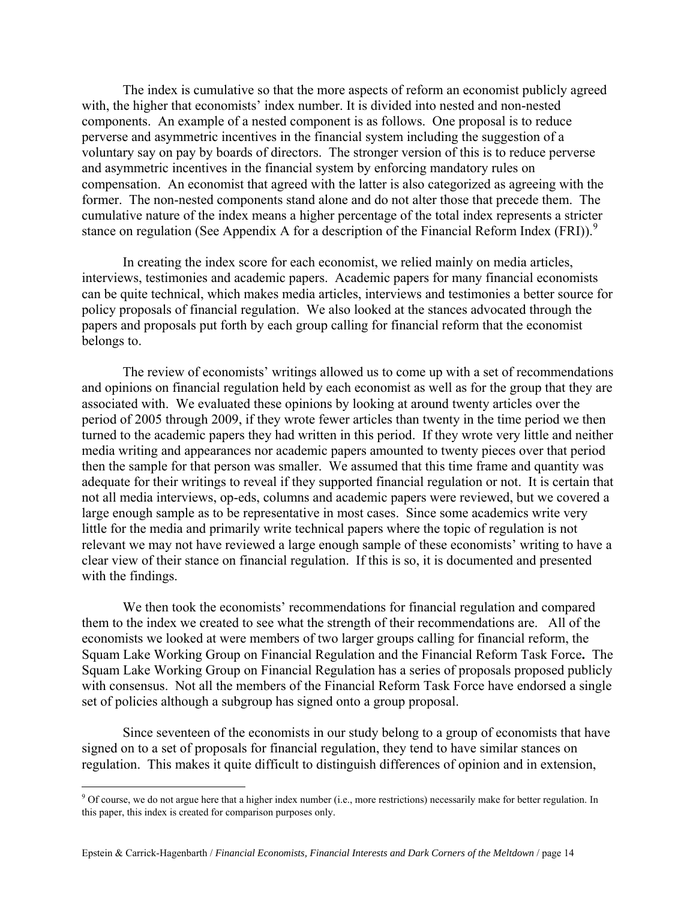The index is cumulative so that the more aspects of reform an economist publicly agreed with, the higher that economists' index number. It is divided into nested and non-nested components. An example of a nested component is as follows. One proposal is to reduce perverse and asymmetric incentives in the financial system including the suggestion of a voluntary say on pay by boards of directors. The stronger version of this is to reduce perverse and asymmetric incentives in the financial system by enforcing mandatory rules on compensation. An economist that agreed with the latter is also categorized as agreeing with the former. The non-nested components stand alone and do not alter those that precede them. The cumulative nature of the index means a higher percentage of the total index represents a stricter stance on regulation (See Appendix A for a description of the Financial Reform Index (FRI)).<sup>[9](#page-15-0)</sup>

In creating the index score for each economist, we relied mainly on media articles, interviews, testimonies and academic papers. Academic papers for many financial economists can be quite technical, which makes media articles, interviews and testimonies a better source for policy proposals of financial regulation.We also looked at the stances advocated through the papers and proposals put forth by each group calling for financial reform that the economist belongs to.

The review of economists' writings allowed us to come up with a set of recommendations and opinions on financial regulation held by each economist as well as for the group that they are associated with. We evaluated these opinions by looking at around twenty articles over the period of 2005 through 2009, if they wrote fewer articles than twenty in the time period we then turned to the academic papers they had written in this period. If they wrote very little and neither media writing and appearances nor academic papers amounted to twenty pieces over that period then the sample for that person was smaller. We assumed that this time frame and quantity was adequate for their writings to reveal if they supported financial regulation or not. It is certain that not all media interviews, op-eds, columns and academic papers were reviewed, but we covered a large enough sample as to be representative in most cases. Since some academics write very little for the media and primarily write technical papers where the topic of regulation is not relevant we may not have reviewed a large enough sample of these economists' writing to have a clear view of their stance on financial regulation. If this is so, it is documented and presented with the findings.

We then took the economists' recommendations for financial regulation and compared them to the index we created to see what the strength of their recommendations are. All of the economists we looked at were members of two larger groups calling for financial reform, the Squam Lake Working Group on Financial Regulation and the Financial Reform Task Force**.** The Squam Lake Working Group on Financial Regulation has a series of proposals proposed publicly with consensus. Not all the members of the Financial Reform Task Force have endorsed a single set of policies although a subgroup has signed onto a group proposal.

Since seventeen of the economists in our study belong to a group of economists that have signed on to a set of proposals for financial regulation, they tend to have similar stances on regulation. This makes it quite difficult to distinguish differences of opinion and in extension,

 $\overline{a}$ 

<span id="page-15-0"></span> $9^9$  Of course, we do not argue here that a higher index number (i.e., more restrictions) necessarily make for better regulation. In this paper, this index is created for comparison purposes only.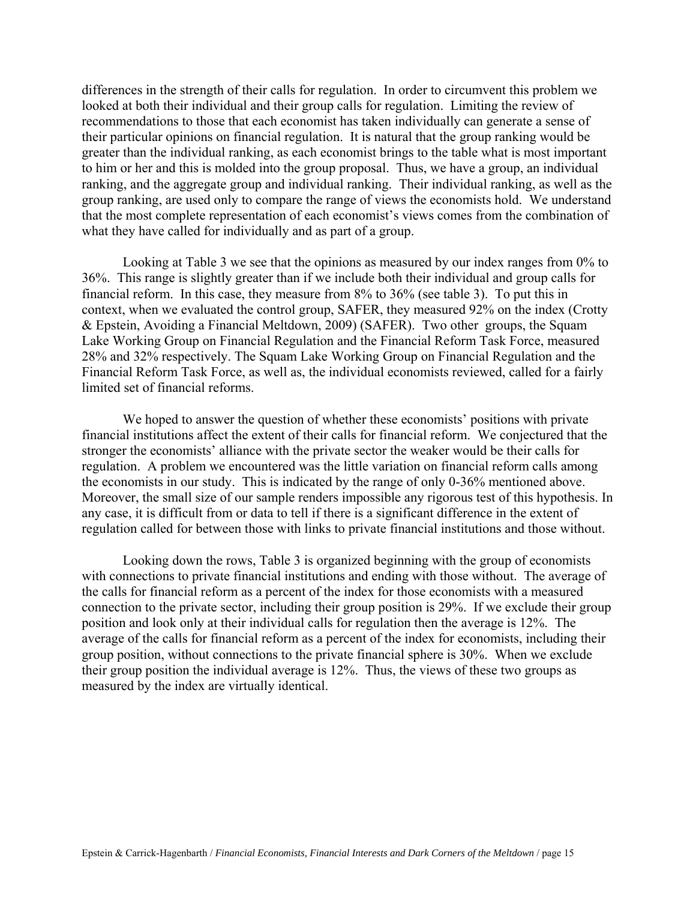differences in the strength of their calls for regulation. In order to circumvent this problem we looked at both their individual and their group calls for regulation. Limiting the review of recommendations to those that each economist has taken individually can generate a sense of their particular opinions on financial regulation. It is natural that the group ranking would be greater than the individual ranking, as each economist brings to the table what is most important to him or her and this is molded into the group proposal. Thus, we have a group, an individual ranking, and the aggregate group and individual ranking.Their individual ranking, as well as the group ranking, are used only to compare the range of views the economists hold. We understand that the most complete representation of each economist's views comes from the combination of what they have called for individually and as part of a group.

Looking at Table 3 we see that the opinions as measured by our index ranges from 0% to 36%. This range is slightly greater than if we include both their individual and group calls for financial reform. In this case, they measure from 8% to 36% (see table 3). To put this in context, when we evaluated the control group, SAFER, they measured 92% on the index (Crotty & Epstein, Avoiding a Financial Meltdown, 2009) (SAFER). Two other groups, the Squam Lake Working Group on Financial Regulation and the Financial Reform Task Force, measured 28% and 32% respectively. The Squam Lake Working Group on Financial Regulation and the Financial Reform Task Force, as well as, the individual economists reviewed, called for a fairly limited set of financial reforms.

We hoped to answer the question of whether these economists' positions with private financial institutions affect the extent of their calls for financial reform. We conjectured that the stronger the economists' alliance with the private sector the weaker would be their calls for regulation. A problem we encountered was the little variation on financial reform calls among the economists in our study. This is indicated by the range of only 0-36% mentioned above. Moreover, the small size of our sample renders impossible any rigorous test of this hypothesis. In any case, it is difficult from or data to tell if there is a significant difference in the extent of regulation called for between those with links to private financial institutions and those without.

Looking down the rows, Table 3 is organized beginning with the group of economists with connections to private financial institutions and ending with those without. The average of the calls for financial reform as a percent of the index for those economists with a measured connection to the private sector, including their group position is 29%. If we exclude their group position and look only at their individual calls for regulation then the average is 12%. The average of the calls for financial reform as a percent of the index for economists, including their group position, without connections to the private financial sphere is 30%. When we exclude their group position the individual average is 12%. Thus, the views of these two groups as measured by the index are virtually identical.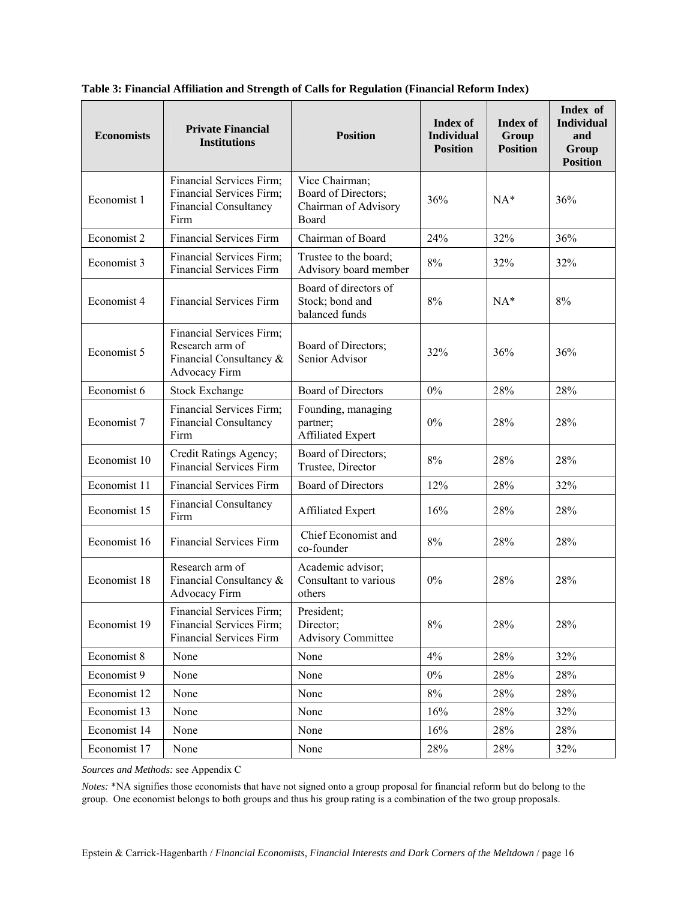| <b>Economists</b> | <b>Private Financial</b><br><b>Institutions</b>                                              | <b>Position</b>                                                        | Index of<br><b>Individual</b><br><b>Position</b> | <b>Index of</b><br>Group<br><b>Position</b> | Index of<br><b>Individual</b><br>and<br>Group<br><b>Position</b> |
|-------------------|----------------------------------------------------------------------------------------------|------------------------------------------------------------------------|--------------------------------------------------|---------------------------------------------|------------------------------------------------------------------|
| Economist 1       | Financial Services Firm;<br>Financial Services Firm;<br><b>Financial Consultancy</b><br>Firm | Vice Chairman;<br>Board of Directors;<br>Chairman of Advisory<br>Board | 36%                                              | $NA*$                                       | 36%                                                              |
| Economist 2       | <b>Financial Services Firm</b>                                                               | Chairman of Board                                                      | 24%                                              | 32%                                         | 36%                                                              |
| Economist 3       | Financial Services Firm;<br><b>Financial Services Firm</b>                                   | Trustee to the board;<br>Advisory board member                         | 8%                                               | 32%                                         | 32%                                                              |
| Economist 4       | <b>Financial Services Firm</b>                                                               | Board of directors of<br>Stock; bond and<br>balanced funds             | $8\%$                                            | $NA*$                                       | $8\%$                                                            |
| Economist 5       | Financial Services Firm;<br>Research arm of<br>Financial Consultancy &<br>Advocacy Firm      | Board of Directors;<br>Senior Advisor                                  | 32%                                              | 36%                                         | 36%                                                              |
| Economist 6       | <b>Stock Exchange</b>                                                                        | <b>Board of Directors</b>                                              | $0\%$                                            | 28%                                         | 28%                                                              |
| Economist 7       | Financial Services Firm;<br><b>Financial Consultancy</b><br>Firm                             | Founding, managing<br>partner;<br><b>Affiliated Expert</b>             | 0%                                               | 28%                                         | 28%                                                              |
| Economist 10      | Credit Ratings Agency;<br><b>Financial Services Firm</b>                                     | Board of Directors;<br>Trustee, Director                               | $8\%$                                            | 28%                                         | 28%                                                              |
| Economist 11      | <b>Financial Services Firm</b>                                                               | <b>Board of Directors</b>                                              | 12%                                              | 28%                                         | 32%                                                              |
| Economist 15      | <b>Financial Consultancy</b><br>Firm                                                         | Affiliated Expert                                                      | 16%                                              | 28%                                         | 28%                                                              |
| Economist 16      | <b>Financial Services Firm</b>                                                               | Chief Economist and<br>co-founder                                      | 8%                                               | 28%                                         | 28%                                                              |
| Economist 18      | Research arm of<br>Financial Consultancy &<br><b>Advocacy Firm</b>                           | Academic advisor;<br>Consultant to various<br>others                   | $0\%$                                            | 28%                                         | 28%                                                              |
| Economist 19      | Financial Services Firm;<br>Financial Services Firm;<br><b>Financial Services Firm</b>       | President;<br>Director;<br><b>Advisory Committee</b>                   | $8\%$                                            | 28%                                         | 28%                                                              |
| Economist 8       | None                                                                                         | None                                                                   | 4%                                               | 28%                                         | 32%                                                              |
| Economist 9       | None                                                                                         | None                                                                   | $0\%$                                            | 28%                                         | 28%                                                              |
| Economist 12      | None                                                                                         | None                                                                   | $8\%$                                            | 28%                                         | 28%                                                              |
| Economist 13      | None                                                                                         | None                                                                   | 16%                                              | 28%                                         | 32%                                                              |
| Economist 14      | None                                                                                         | None                                                                   | 16%                                              | 28%                                         | 28%                                                              |
| Economist 17      | None                                                                                         | None                                                                   | 28%                                              | 28%                                         | 32%                                                              |

**Table 3: Financial Affiliation and Strength of Calls for Regulation (Financial Reform Index)** 

*Sources and Methods:* see Appendix C

*Notes:* \*NA signifies those economists that have not signed onto a group proposal for financial reform but do belong to the group. One economist belongs to both groups and thus his group rating is a combination of the two group proposals.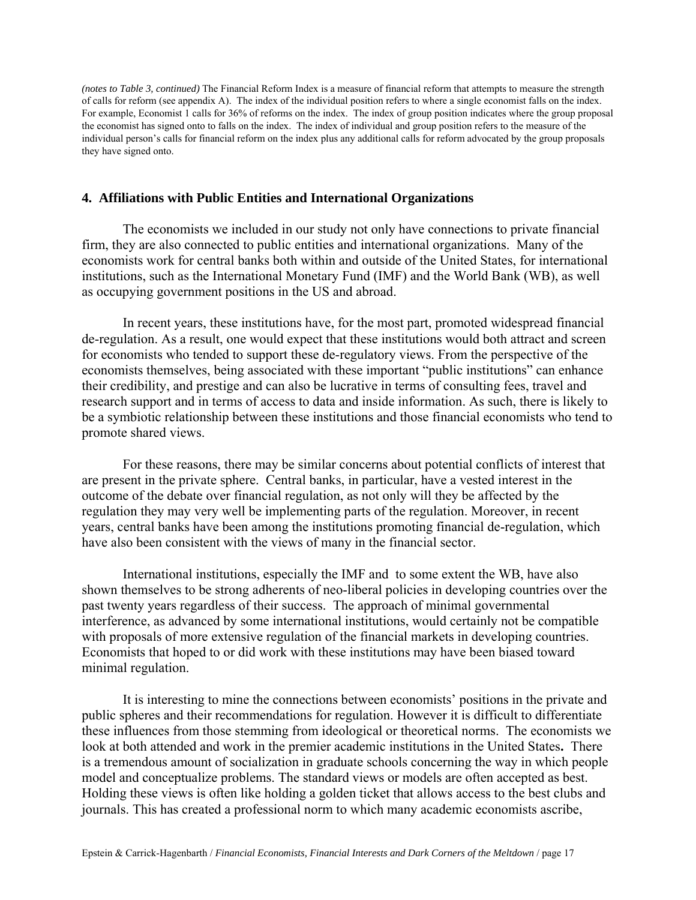*(notes to Table 3, continued)* The Financial Reform Index is a measure of financial reform that attempts to measure the strength of calls for reform (see appendix A). The index of the individual position refers to where a single economist falls on the index. For example, Economist 1 calls for 36% of reforms on the index. The index of group position indicates where the group proposal the economist has signed onto to falls on the index. The index of individual and group position refers to the measure of the individual person's calls for financial reform on the index plus any additional calls for reform advocated by the group proposals they have signed onto.

#### **4. Affiliations with Public Entities and International Organizations**

The economists we included in our study not only have connections to private financial firm, they are also connected to public entities and international organizations. Many of the economists work for central banks both within and outside of the United States, for international institutions, such as the International Monetary Fund (IMF) and the World Bank (WB), as well as occupying government positions in the US and abroad.

 In recent years, these institutions have, for the most part, promoted widespread financial de-regulation. As a result, one would expect that these institutions would both attract and screen for economists who tended to support these de-regulatory views. From the perspective of the economists themselves, being associated with these important "public institutions" can enhance their credibility, and prestige and can also be lucrative in terms of consulting fees, travel and research support and in terms of access to data and inside information. As such, there is likely to be a symbiotic relationship between these institutions and those financial economists who tend to promote shared views.

 For these reasons, there may be similar concerns about potential conflicts of interest that are present in the private sphere. Central banks, in particular, have a vested interest in the outcome of the debate over financial regulation, as not only will they be affected by the regulation they may very well be implementing parts of the regulation. Moreover, in recent years, central banks have been among the institutions promoting financial de-regulation, which have also been consistent with the views of many in the financial sector.

International institutions, especially the IMF and to some extent the WB, have also shown themselves to be strong adherents of neo-liberal policies in developing countries over the past twenty years regardless of their success. The approach of minimal governmental interference, as advanced by some international institutions, would certainly not be compatible with proposals of more extensive regulation of the financial markets in developing countries. Economists that hoped to or did work with these institutions may have been biased toward minimal regulation.

It is interesting to mine the connections between economists' positions in the private and public spheres and their recommendations for regulation. However it is difficult to differentiate these influences from those stemming from ideological or theoretical norms. The economists we look at both attended and work in the premier academic institutions in the United States**.** There is a tremendous amount of socialization in graduate schools concerning the way in which people model and conceptualize problems. The standard views or models are often accepted as best. Holding these views is often like holding a golden ticket that allows access to the best clubs and journals. This has created a professional norm to which many academic economists ascribe,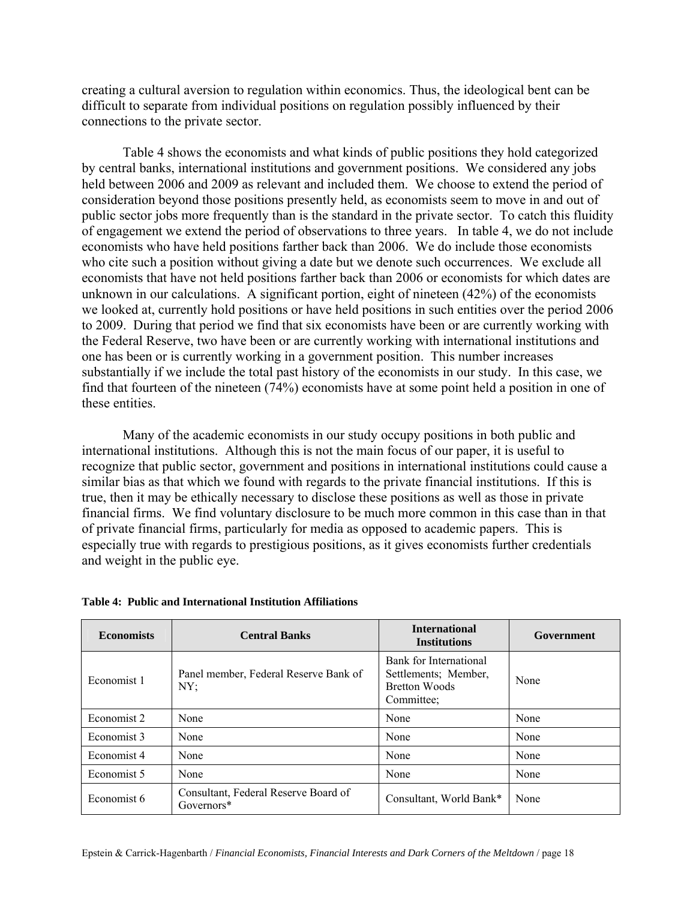creating a cultural aversion to regulation within economics. Thus, the ideological bent can be difficult to separate from individual positions on regulation possibly influenced by their connections to the private sector.

Table 4 shows the economists and what kinds of public positions they hold categorized by central banks, international institutions and government positions. We considered any jobs held between 2006 and 2009 as relevant and included them. We choose to extend the period of consideration beyond those positions presently held, as economists seem to move in and out of public sector jobs more frequently than is the standard in the private sector. To catch this fluidity of engagement we extend the period of observations to three years. In table 4, we do not include economists who have held positions farther back than 2006. We do include those economists who cite such a position without giving a date but we denote such occurrences. We exclude all economists that have not held positions farther back than 2006 or economists for which dates are unknown in our calculations. A significant portion, eight of nineteen (42%) of the economists we looked at, currently hold positions or have held positions in such entities over the period 2006 to 2009. During that period we find that six economists have been or are currently working with the Federal Reserve, two have been or are currently working with international institutions and one has been or is currently working in a government position.This number increases substantially if we include the total past history of the economists in our study. In this case, we find that fourteen of the nineteen (74%) economists have at some point held a position in one of these entities.

Many of the academic economists in our study occupy positions in both public and international institutions. Although this is not the main focus of our paper, it is useful to recognize that public sector, government and positions in international institutions could cause a similar bias as that which we found with regards to the private financial institutions. If this is true, then it may be ethically necessary to disclose these positions as well as those in private financial firms. We find voluntary disclosure to be much more common in this case than in that of private financial firms, particularly for media as opposed to academic papers. This is especially true with regards to prestigious positions, as it gives economists further credentials and weight in the public eye.

| <b>Economists</b> | <b>Central Banks</b>                               | <b>International</b><br><b>Institutions</b>                                          | Government |
|-------------------|----------------------------------------------------|--------------------------------------------------------------------------------------|------------|
| Economist 1       | Panel member, Federal Reserve Bank of<br>NY;       | Bank for International<br>Settlements: Member.<br><b>Bretton Woods</b><br>Committee: | None       |
| Economist 2       | None                                               | None                                                                                 | None       |
| Economist 3       | None                                               | None                                                                                 | None       |
| Economist 4       | None                                               | None                                                                                 | None       |
| Economist 5       | None                                               | None                                                                                 | None       |
| Economist 6       | Consultant, Federal Reserve Board of<br>Governors* | Consultant, World Bank*                                                              | None       |

#### **Table 4: Public and International Institution Affiliations**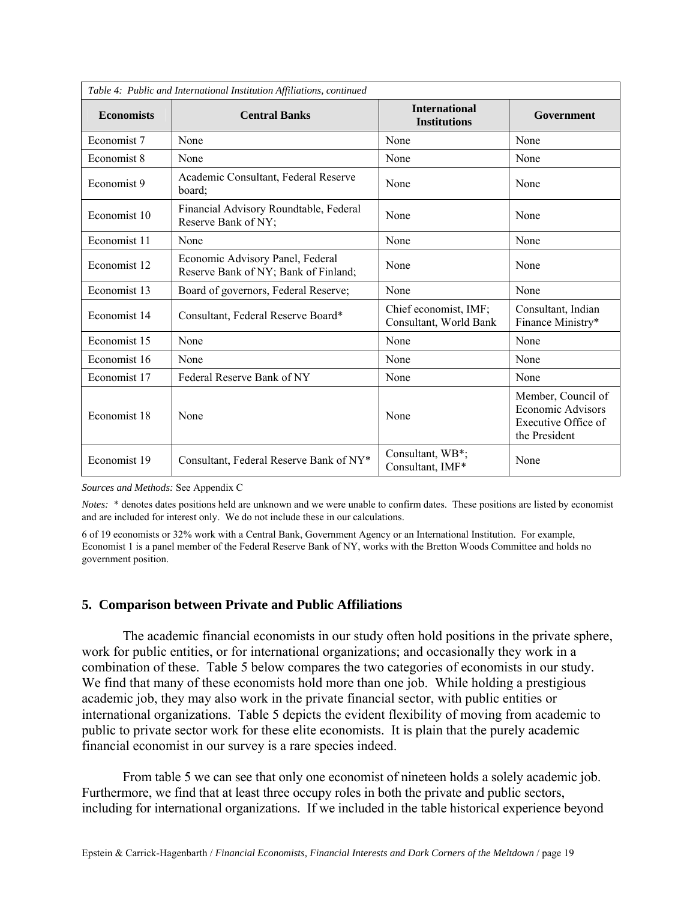| Table 4: Public and International Institution Affiliations, continued |                                                                          |                                                 |                                                                                        |  |
|-----------------------------------------------------------------------|--------------------------------------------------------------------------|-------------------------------------------------|----------------------------------------------------------------------------------------|--|
| <b>Economists</b>                                                     | <b>Central Banks</b>                                                     | <b>International</b><br><b>Institutions</b>     | Government                                                                             |  |
| Economist 7                                                           | None                                                                     | None                                            | None                                                                                   |  |
| Economist 8                                                           | None                                                                     | None                                            | None                                                                                   |  |
| Economist 9                                                           | Academic Consultant, Federal Reserve<br>board:                           | None                                            | None                                                                                   |  |
| Economist 10                                                          | Financial Advisory Roundtable, Federal<br>Reserve Bank of NY;            | None                                            | None                                                                                   |  |
| Economist 11                                                          | None                                                                     | None                                            | None                                                                                   |  |
| Economist 12                                                          | Economic Advisory Panel, Federal<br>Reserve Bank of NY; Bank of Finland; | None                                            | None                                                                                   |  |
| Economist 13                                                          | Board of governors, Federal Reserve;                                     | None                                            | None                                                                                   |  |
| Economist 14                                                          | Consultant, Federal Reserve Board*                                       | Chief economist, IMF;<br>Consultant, World Bank | Consultant, Indian<br>Finance Ministry*                                                |  |
| Economist 15                                                          | None                                                                     | None                                            | None                                                                                   |  |
| Economist 16                                                          | None                                                                     | None                                            | None                                                                                   |  |
| Economist 17                                                          | Federal Reserve Bank of NY                                               | None                                            | None                                                                                   |  |
| Economist 18                                                          | None                                                                     | None                                            | Member, Council of<br><b>Economic Advisors</b><br>Executive Office of<br>the President |  |
| Economist 19                                                          | Consultant, Federal Reserve Bank of NY*                                  | Consultant, WB*;<br>Consultant, IMF*            | None                                                                                   |  |

*Sources and Methods:* See Appendix C

*Notes:* \* denotes dates positions held are unknown and we were unable to confirm dates. These positions are listed by economist and are included for interest only. We do not include these in our calculations.

6 of 19 economists or 32% work with a Central Bank, Government Agency or an International Institution. For example, Economist 1 is a panel member of the Federal Reserve Bank of NY, works with the Bretton Woods Committee and holds no government position.

#### **5. Comparison between Private and Public Affiliations**

The academic financial economists in our study often hold positions in the private sphere, work for public entities, or for international organizations; and occasionally they work in a combination of these. Table 5 below compares the two categories of economists in our study. We find that many of these economists hold more than one job. While holding a prestigious academic job, they may also work in the private financial sector, with public entities or international organizations. Table 5 depicts the evident flexibility of moving from academic to public to private sector work for these elite economists. It is plain that the purely academic financial economist in our survey is a rare species indeed.

From table 5 we can see that only one economist of nineteen holds a solely academic job. Furthermore, we find that at least three occupy roles in both the private and public sectors, including for international organizations. If we included in the table historical experience beyond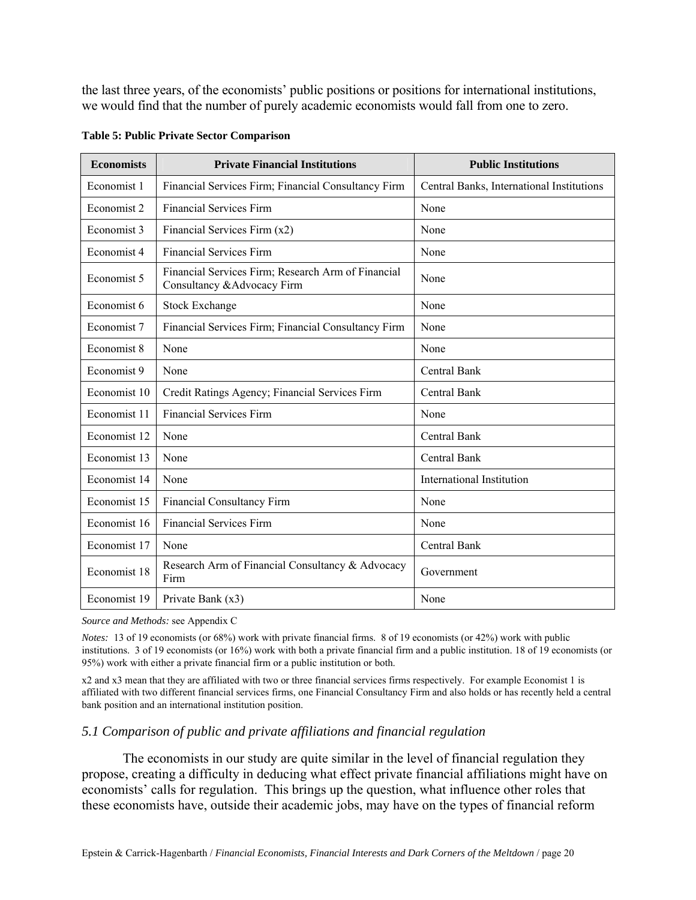the last three years, of the economists' public positions or positions for international institutions, we would find that the number of purely academic economists would fall from one to zero.

| <b>Economists</b> | <b>Private Financial Institutions</b>                                             | <b>Public Institutions</b>                |
|-------------------|-----------------------------------------------------------------------------------|-------------------------------------------|
| Economist 1       | Financial Services Firm; Financial Consultancy Firm                               | Central Banks, International Institutions |
| Economist 2       | <b>Financial Services Firm</b>                                                    | None                                      |
| Economist 3       | Financial Services Firm (x2)                                                      | None                                      |
| Economist 4       | <b>Financial Services Firm</b>                                                    | None                                      |
| Economist 5       | Financial Services Firm; Research Arm of Financial<br>Consultancy & Advocacy Firm | None                                      |
| Economist 6       | <b>Stock Exchange</b>                                                             | None                                      |
| Economist 7       | Financial Services Firm; Financial Consultancy Firm                               | None                                      |
| Economist 8       | None                                                                              | None                                      |
| Economist 9       | None                                                                              | <b>Central Bank</b>                       |
| Economist 10      | Credit Ratings Agency; Financial Services Firm                                    | <b>Central Bank</b>                       |
| Economist 11      | <b>Financial Services Firm</b>                                                    | None                                      |
| Economist 12      | None                                                                              | <b>Central Bank</b>                       |
| Economist 13      | None                                                                              | Central Bank                              |
| Economist 14      | None                                                                              | International Institution                 |
| Economist 15      | <b>Financial Consultancy Firm</b>                                                 | None                                      |
| Economist 16      | <b>Financial Services Firm</b>                                                    | None                                      |
| Economist 17      | None                                                                              | Central Bank                              |
| Economist 18      | Research Arm of Financial Consultancy & Advocacy<br>Firm                          | Government                                |
| Economist 19      | Private Bank (x3)                                                                 | None                                      |

**Table 5: Public Private Sector Comparison** 

*Source and Methods:* see Appendix C

*Notes:* 13 of 19 economists (or 68%) work with private financial firms. 8 of 19 economists (or 42%) work with public institutions. 3 of 19 economists (or 16%) work with both a private financial firm and a public institution. 18 of 19 economists (or 95%) work with either a private financial firm or a public institution or both.

x2 and x3 mean that they are affiliated with two or three financial services firms respectively. For example Economist 1 is affiliated with two different financial services firms, one Financial Consultancy Firm and also holds or has recently held a central bank position and an international institution position.

#### *5.1 Comparison of public and private affiliations and financial regulation*

The economists in our study are quite similar in the level of financial regulation they propose, creating a difficulty in deducing what effect private financial affiliations might have on economists' calls for regulation. This brings up the question, what influence other roles that these economists have, outside their academic jobs, may have on the types of financial reform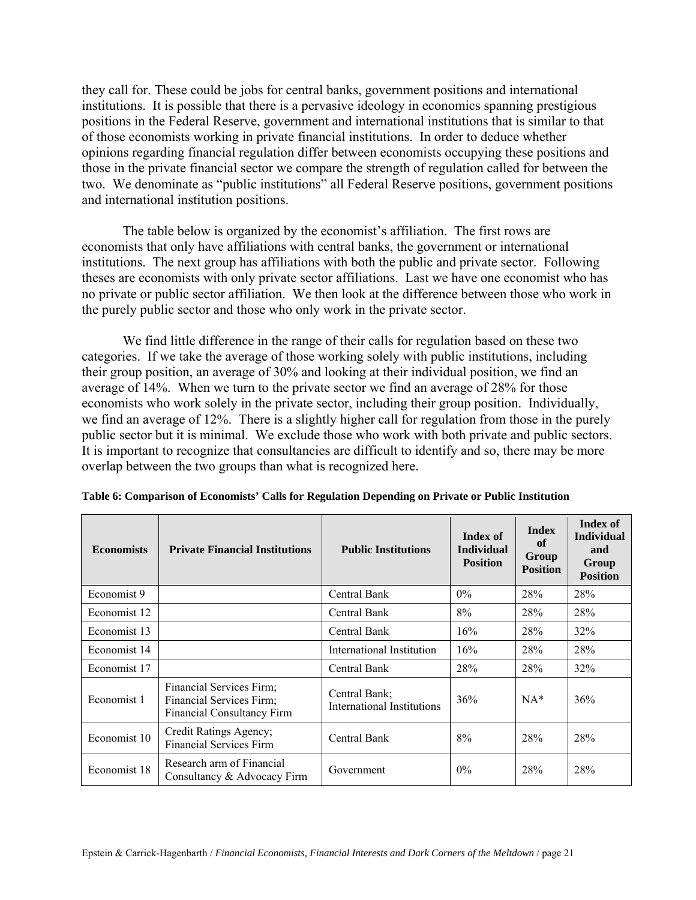they call for. These could be jobs for central banks, government positions and international institutions. It is possible that there is a pervasive ideology in economics spanning prestigious positions in the Federal Reserve, government and international institutions that is similar to that of those economists working in private financial institutions. In order to deduce whether opinions regarding financial regulation differ between economists occupying these positions and those in the private financial sector we compare the strength of regulation called for between the two. We denominate as "public institutions" all Federal Reserve positions, government positions and international institution positions.

The table below is organized by the economist's affiliation. The first rows are economists that only have affiliations with central banks, the government or international institutions. The next group has affiliations with both the public and private sector. Following theses are economists with only private sector affiliations. Last we have one economist who has no private or public sector affiliation. We then look at the difference between those who work in the purely public sector and those who only work in the private sector.

We find little difference in the range of their calls for regulation based on these two categories. If we take the average of those working solely with public institutions, including their group position, an average of 30% and looking at their individual position, we find an average of 14%. When we turn to the private sector we find an average of 28% for those economists who work solely in the private sector, including their group position. Individually, we find an average of 12%. There is a slightly higher call for regulation from those in the purely public sector but it is minimal. We exclude those who work with both private and public sectors. It is important to recognize that consultancies are difficult to identify and so, there may be more overlap between the two groups than what is recognized here.

| <b>Economists</b> | <b>Private Financial Institutions</b>                                                     | <b>Public Institutions</b>                  | Index of<br><b>Individual</b><br><b>Position</b> | <b>Index</b><br>of<br>Group<br><b>Position</b> | <b>Index of</b><br><b>Individual</b><br>and<br>Group<br><b>Position</b> |
|-------------------|-------------------------------------------------------------------------------------------|---------------------------------------------|--------------------------------------------------|------------------------------------------------|-------------------------------------------------------------------------|
| Economist 9       |                                                                                           | Central Bank                                | $0\%$                                            | 28%                                            | 28%                                                                     |
| Economist 12      |                                                                                           | Central Bank                                | 8%                                               | 28%                                            | 28%                                                                     |
| Economist 13      |                                                                                           | Central Bank                                | 16%                                              | 28%                                            | 32%                                                                     |
| Economist 14      |                                                                                           | International Institution                   | 16%                                              | 28%                                            | 28%                                                                     |
| Economist 17      |                                                                                           | Central Bank                                | 28%                                              | 28%                                            | 32%                                                                     |
| Economist 1       | Financial Services Firm;<br>Financial Services Firm;<br><b>Financial Consultancy Firm</b> | Central Bank;<br>International Institutions | 36%                                              | $NA*$                                          | 36%                                                                     |
| Economist 10      | Credit Ratings Agency;<br><b>Financial Services Firm</b>                                  | Central Bank                                | 8%                                               | 28%                                            | 28%                                                                     |
| Economist 18      | Research arm of Financial<br>Consultancy & Advocacy Firm                                  | Government                                  | $0\%$                                            | 28%                                            | 28%                                                                     |

**Table 6: Comparison of Economists' Calls for Regulation Depending on Private or Public Institution**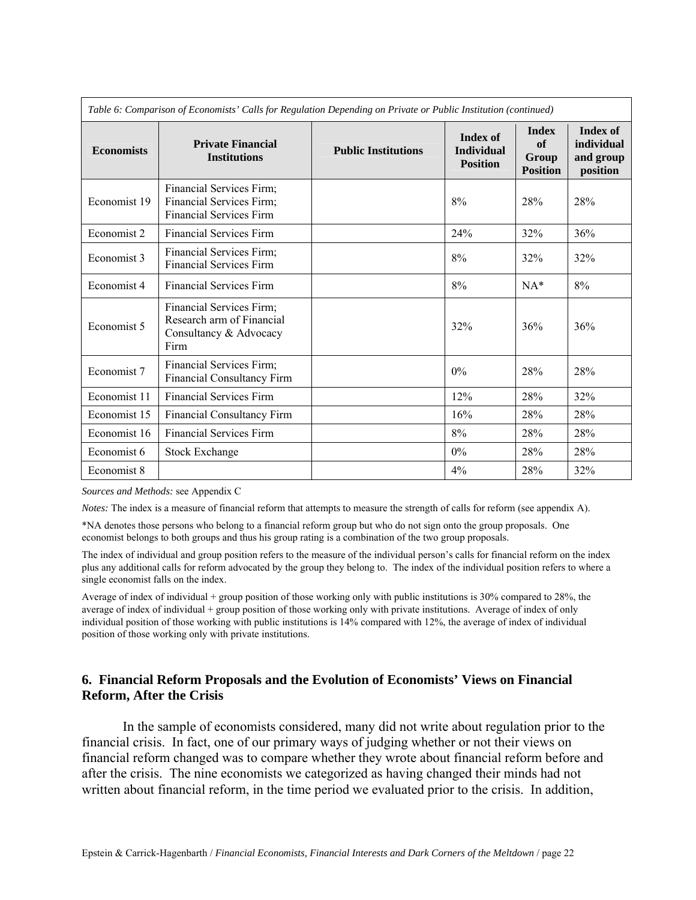| Table 6: Comparison of Economists' Calls for Regulation Depending on Private or Public Institution (continued) |                                                                                         |                            |                                                         |                                                |                                                        |  |
|----------------------------------------------------------------------------------------------------------------|-----------------------------------------------------------------------------------------|----------------------------|---------------------------------------------------------|------------------------------------------------|--------------------------------------------------------|--|
| <b>Economists</b>                                                                                              | <b>Private Financial</b><br><b>Institutions</b>                                         | <b>Public Institutions</b> | <b>Index of</b><br><b>Individual</b><br><b>Position</b> | <b>Index</b><br>of<br>Group<br><b>Position</b> | <b>Index of</b><br>individual<br>and group<br>position |  |
| Economist 19                                                                                                   | Financial Services Firm;<br>Financial Services Firm;<br><b>Financial Services Firm</b>  |                            | 8%                                                      | 28%                                            | 28%                                                    |  |
| Economist 2                                                                                                    | <b>Financial Services Firm</b>                                                          |                            | 24%                                                     | 32%                                            | 36%                                                    |  |
| Economist 3                                                                                                    | Financial Services Firm;<br><b>Financial Services Firm</b>                              |                            | $8\%$                                                   | 32%                                            | 32%                                                    |  |
| Economist 4                                                                                                    | <b>Financial Services Firm</b>                                                          |                            | 8%                                                      | $NA*$                                          | 8%                                                     |  |
| Economist 5                                                                                                    | Financial Services Firm;<br>Research arm of Financial<br>Consultancy & Advocacy<br>Firm |                            | 32%                                                     | 36%                                            | 36%                                                    |  |
| Economist 7                                                                                                    | Financial Services Firm;<br>Financial Consultancy Firm                                  |                            | 0%                                                      | 28%                                            | 28%                                                    |  |
| Economist 11                                                                                                   | <b>Financial Services Firm</b>                                                          |                            | 12%                                                     | 28%                                            | 32%                                                    |  |
| Economist 15                                                                                                   | Financial Consultancy Firm                                                              |                            | 16%                                                     | 28%                                            | 28%                                                    |  |
| Economist 16                                                                                                   | <b>Financial Services Firm</b>                                                          |                            | $8\%$                                                   | 28%                                            | 28%                                                    |  |
| Economist 6                                                                                                    | <b>Stock Exchange</b>                                                                   |                            | 0%                                                      | 28%                                            | 28%                                                    |  |
| Economist 8                                                                                                    |                                                                                         |                            | 4%                                                      | 28%                                            | 32%                                                    |  |

*Sources and Methods:* see Appendix C

*Notes:* The index is a measure of financial reform that attempts to measure the strength of calls for reform (see appendix A).

\*NA denotes those persons who belong to a financial reform group but who do not sign onto the group proposals. One economist belongs to both groups and thus his group rating is a combination of the two group proposals.

The index of individual and group position refers to the measure of the individual person's calls for financial reform on the index plus any additional calls for reform advocated by the group they belong to. The index of the individual position refers to where a single economist falls on the index.

Average of index of individual + group position of those working only with public institutions is 30% compared to 28%, the average of index of individual + group position of those working only with private institutions. Average of index of only individual position of those working with public institutions is 14% compared with 12%, the average of index of individual position of those working only with private institutions.

#### **6. Financial Reform Proposals and the Evolution of Economists' Views on Financial Reform, After the Crisis**

 In the sample of economists considered, many did not write about regulation prior to the financial crisis. In fact, one of our primary ways of judging whether or not their views on financial reform changed was to compare whether they wrote about financial reform before and after the crisis. The nine economists we categorized as having changed their minds had not written about financial reform, in the time period we evaluated prior to the crisis. In addition,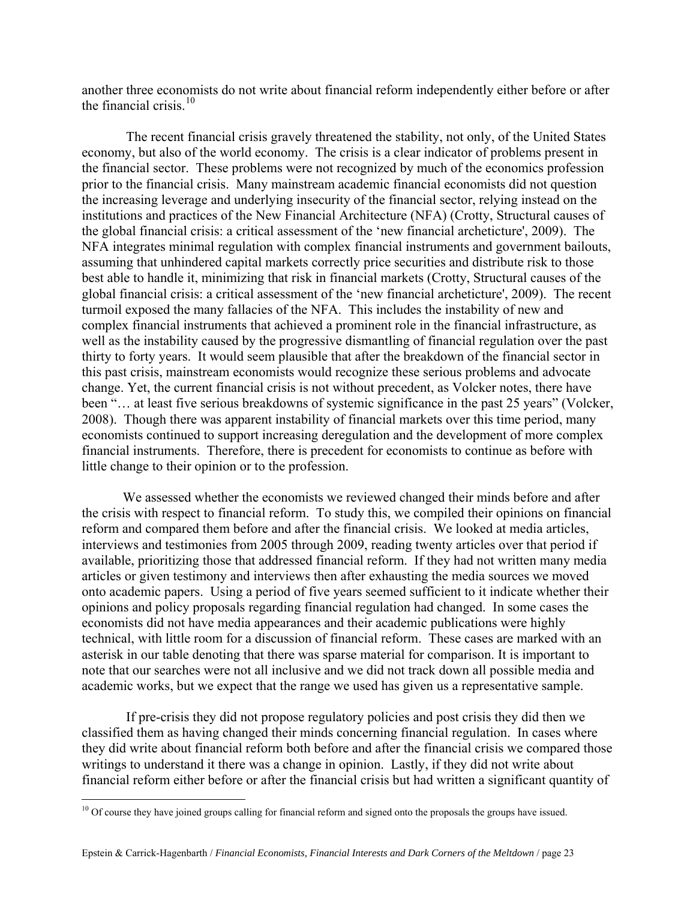another three economists do not write about financial reform independently either before or after the financial crisis  $10$ 

 The recent financial crisis gravely threatened the stability, not only, of the United States economy, but also of the world economy. The crisis is a clear indicator of problems present in the financial sector. These problems were not recognized by much of the economics profession prior to the financial crisis. Many mainstream academic financial economists did not question the increasing leverage and underlying insecurity of the financial sector, relying instead on the institutions and practices of the New Financial Architecture (NFA) (Crotty, Structural causes of the global financial crisis: a critical assessment of the 'new financial archeticture', 2009). The NFA integrates minimal regulation with complex financial instruments and government bailouts, assuming that unhindered capital markets correctly price securities and distribute risk to those best able to handle it, minimizing that risk in financial markets (Crotty, Structural causes of the global financial crisis: a critical assessment of the 'new financial archeticture', 2009). The recent turmoil exposed the many fallacies of the NFA. This includes the instability of new and complex financial instruments that achieved a prominent role in the financial infrastructure, as well as the instability caused by the progressive dismantling of financial regulation over the past thirty to forty years. It would seem plausible that after the breakdown of the financial sector in this past crisis, mainstream economists would recognize these serious problems and advocate change. Yet, the current financial crisis is not without precedent, as Volcker notes, there have been "... at least five serious breakdowns of systemic significance in the past 25 years" (Volcker, 2008). Though there was apparent instability of financial markets over this time period, many economists continued to support increasing deregulation and the development of more complex financial instruments. Therefore, there is precedent for economists to continue as before with little change to their opinion or to the profession.

We assessed whether the economists we reviewed changed their minds before and after the crisis with respect to financial reform. To study this, we compiled their opinions on financial reform and compared them before and after the financial crisis. We looked at media articles, interviews and testimonies from 2005 through 2009, reading twenty articles over that period if available, prioritizing those that addressed financial reform. If they had not written many media articles or given testimony and interviews then after exhausting the media sources we moved onto academic papers. Using a period of five years seemed sufficient to it indicate whether their opinions and policy proposals regarding financial regulation had changed. In some cases the economists did not have media appearances and their academic publications were highly technical, with little room for a discussion of financial reform. These cases are marked with an asterisk in our table denoting that there was sparse material for comparison. It is important to note that our searches were not all inclusive and we did not track down all possible media and academic works, but we expect that the range we used has given us a representative sample.

 If pre-crisis they did not propose regulatory policies and post crisis they did then we classified them as having changed their minds concerning financial regulation.In cases where they did write about financial reform both before and after the financial crisis we compared those writings to understand it there was a change in opinion. Lastly, if they did not write about financial reform either before or after the financial crisis but had written a significant quantity of

 $\overline{a}$ 

<span id="page-24-0"></span> $10$  Of course they have joined groups calling for financial reform and signed onto the proposals the groups have issued.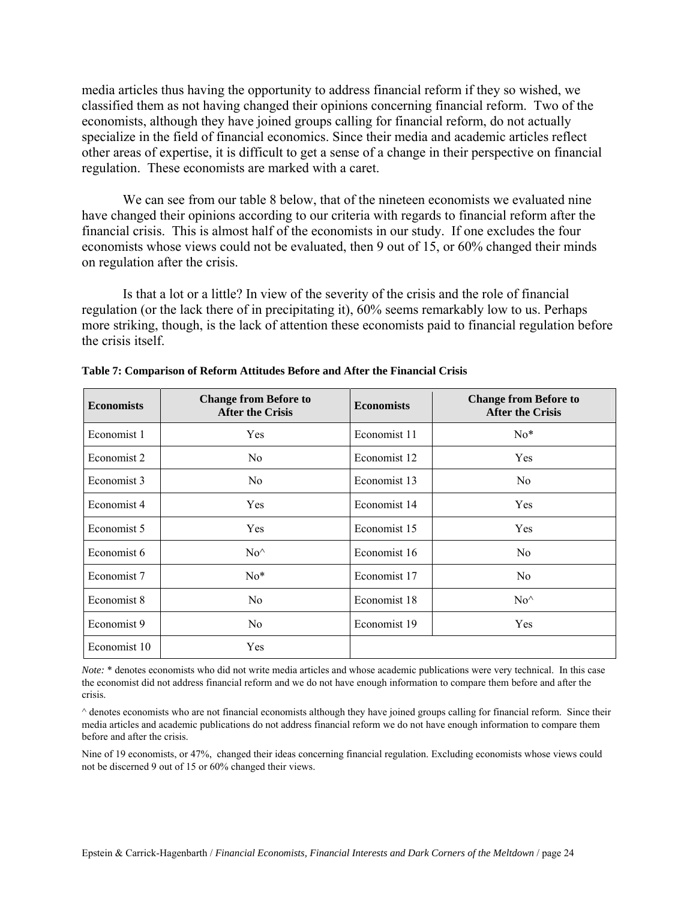media articles thus having the opportunity to address financial reform if they so wished, we classified them as not having changed their opinions concerning financial reform. Two of the economists, although they have joined groups calling for financial reform, do not actually specialize in the field of financial economics. Since their media and academic articles reflect other areas of expertise, it is difficult to get a sense of a change in their perspective on financial regulation. These economists are marked with a caret.

We can see from our table 8 below, that of the nineteen economists we evaluated nine have changed their opinions according to our criteria with regards to financial reform after the financial crisis. This is almost half of the economists in our study. If one excludes the four economists whose views could not be evaluated, then 9 out of 15, or 60% changed their minds on regulation after the crisis.

Is that a lot or a little? In view of the severity of the crisis and the role of financial regulation (or the lack there of in precipitating it), 60% seems remarkably low to us. Perhaps more striking, though, is the lack of attention these economists paid to financial regulation before the crisis itself.

| <b>Economists</b> | <b>Change from Before to</b><br><b>After the Crisis</b> | <b>Economists</b> | <b>Change from Before to</b><br><b>After the Crisis</b> |
|-------------------|---------------------------------------------------------|-------------------|---------------------------------------------------------|
| Economist 1       | Yes                                                     | Economist 11      | $No*$                                                   |
| Economist 2       | No                                                      | Economist 12      | Yes                                                     |
| Economist 3       | No                                                      | Economist 13      | No.                                                     |
| Economist 4       | Yes                                                     | Economist 14      | Yes                                                     |
| Economist 5       | Yes                                                     | Economist 15      | Yes                                                     |
| Economist 6       | $No^{\wedge}$                                           | Economist 16      | N <sub>0</sub>                                          |
| Economist 7       | $No*$                                                   | Economist 17      | No.                                                     |
| Economist 8       | No                                                      | Economist 18      | $No^{\wedge}$                                           |
| Economist 9       | No                                                      | Economist 19      | Yes                                                     |
| Economist 10      | Yes                                                     |                   |                                                         |

**Table 7: Comparison of Reform Attitudes Before and After the Financial Crisis** 

*Note:* \* denotes economists who did not write media articles and whose academic publications were very technical. In this case the economist did not address financial reform and we do not have enough information to compare them before and after the crisis.

 $\land$  denotes economists who are not financial economists although they have joined groups calling for financial reform. Since their media articles and academic publications do not address financial reform we do not have enough information to compare them before and after the crisis.

Nine of 19 economists, or 47%, changed their ideas concerning financial regulation. Excluding economists whose views could not be discerned 9 out of 15 or 60% changed their views.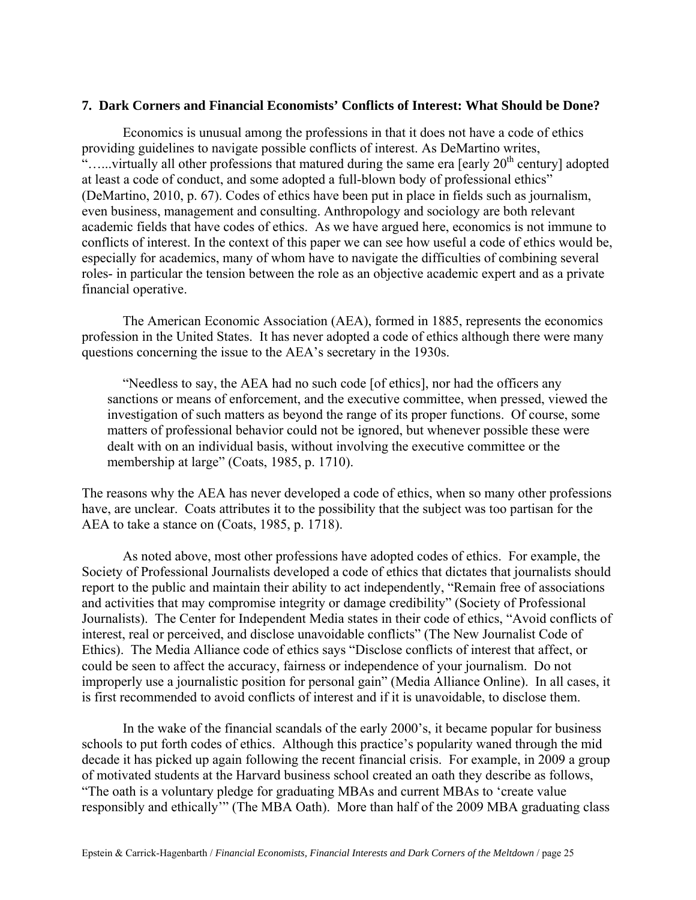#### **7. Dark Corners and Financial Economists' Conflicts of Interest: What Should be Done?**

 Economics is unusual among the professions in that it does not have a code of ethics providing guidelines to navigate possible conflicts of interest. As DeMartino writes, "......virtually all other professions that matured during the same era [early  $20<sup>th</sup>$  century] adopted at least a code of conduct, and some adopted a full-blown body of professional ethics" (DeMartino, 2010, p. 67). Codes of ethics have been put in place in fields such as journalism, even business, management and consulting. Anthropology and sociology are both relevant academic fields that have codes of ethics. As we have argued here, economics is not immune to conflicts of interest. In the context of this paper we can see how useful a code of ethics would be, especially for academics, many of whom have to navigate the difficulties of combining several roles- in particular the tension between the role as an objective academic expert and as a private financial operative.

The American Economic Association (AEA), formed in 1885, represents the economics profession in the United States. It has never adopted a code of ethics although there were many questions concerning the issue to the AEA's secretary in the 1930s.

 "Needless to say, the AEA had no such code [of ethics], nor had the officers any sanctions or means of enforcement, and the executive committee, when pressed, viewed the investigation of such matters as beyond the range of its proper functions. Of course, some matters of professional behavior could not be ignored, but whenever possible these were dealt with on an individual basis, without involving the executive committee or the membership at large" (Coats, 1985, p. 1710).

The reasons why the AEA has never developed a code of ethics, when so many other professions have, are unclear. Coats attributes it to the possibility that the subject was too partisan for the AEA to take a stance on (Coats, 1985, p. 1718).

 As noted above, most other professions have adopted codes of ethics. For example, the Society of Professional Journalists developed a code of ethics that dictates that journalists should report to the public and maintain their ability to act independently, "Remain free of associations and activities that may compromise integrity or damage credibility" (Society of Professional Journalists). The Center for Independent Media states in their code of ethics, "Avoid conflicts of interest, real or perceived, and disclose unavoidable conflicts" (The New Journalist Code of Ethics). The Media Alliance code of ethics says "Disclose conflicts of interest that affect, or could be seen to affect the accuracy, fairness or independence of your journalism. Do not improperly use a journalistic position for personal gain" (Media Alliance Online). In all cases, it is first recommended to avoid conflicts of interest and if it is unavoidable, to disclose them.

 In the wake of the financial scandals of the early 2000's, it became popular for business schools to put forth codes of ethics. Although this practice's popularity waned through the mid decade it has picked up again following the recent financial crisis. For example, in 2009 a group of motivated students at the Harvard business school created an oath they describe as follows, "The oath is a voluntary pledge for graduating MBAs and current MBAs to 'create value responsibly and ethically'" (The MBA Oath). More than half of the 2009 MBA graduating class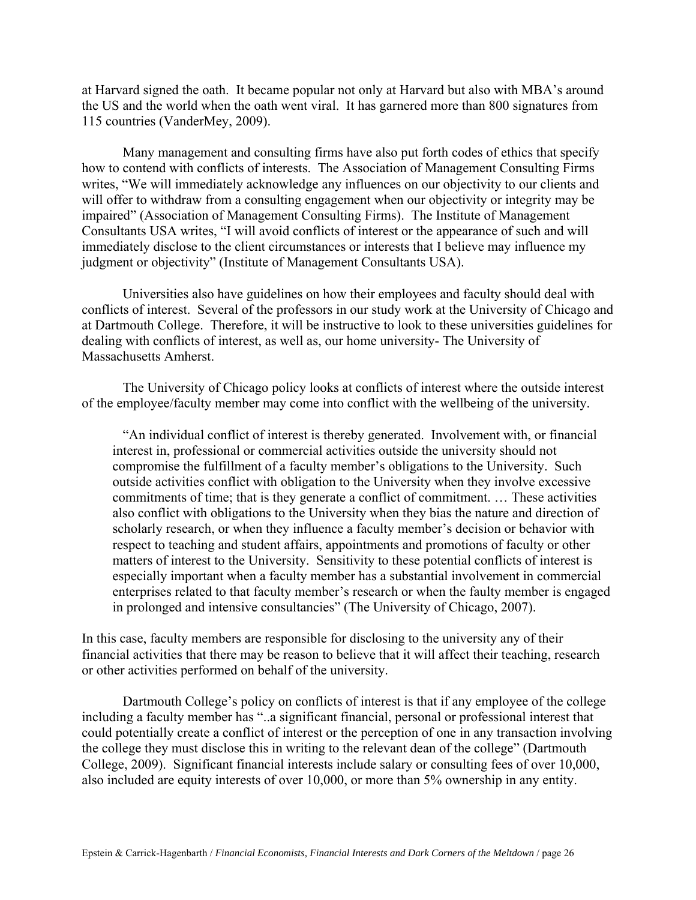at Harvard signed the oath. It became popular not only at Harvard but also with MBA's around the US and the world when the oath went viral. It has garnered more than 800 signatures from 115 countries (VanderMey, 2009).

 Many management and consulting firms have also put forth codes of ethics that specify how to contend with conflicts of interests. The Association of Management Consulting Firms writes, "We will immediately acknowledge any influences on our objectivity to our clients and will offer to withdraw from a consulting engagement when our objectivity or integrity may be impaired" (Association of Management Consulting Firms). The Institute of Management Consultants USA writes, "I will avoid conflicts of interest or the appearance of such and will immediately disclose to the client circumstances or interests that I believe may influence my judgment or objectivity" (Institute of Management Consultants USA).

Universities also have guidelines on how their employees and faculty should deal with conflicts of interest. Several of the professors in our study work at the University of Chicago and at Dartmouth College. Therefore, it will be instructive to look to these universities guidelines for dealing with conflicts of interest, as well as, our home university- The University of Massachusetts Amherst.

 The University of Chicago policy looks at conflicts of interest where the outside interest of the employee/faculty member may come into conflict with the wellbeing of the university.

"An individual conflict of interest is thereby generated. Involvement with, or financial interest in, professional or commercial activities outside the university should not compromise the fulfillment of a faculty member's obligations to the University. Such outside activities conflict with obligation to the University when they involve excessive commitments of time; that is they generate a conflict of commitment. … These activities also conflict with obligations to the University when they bias the nature and direction of scholarly research, or when they influence a faculty member's decision or behavior with respect to teaching and student affairs, appointments and promotions of faculty or other matters of interest to the University. Sensitivity to these potential conflicts of interest is especially important when a faculty member has a substantial involvement in commercial enterprises related to that faculty member's research or when the faulty member is engaged in prolonged and intensive consultancies" (The University of Chicago, 2007).

In this case, faculty members are responsible for disclosing to the university any of their financial activities that there may be reason to believe that it will affect their teaching, research or other activities performed on behalf of the university.

 Dartmouth College's policy on conflicts of interest is that if any employee of the college including a faculty member has "..a significant financial, personal or professional interest that could potentially create a conflict of interest or the perception of one in any transaction involving the college they must disclose this in writing to the relevant dean of the college" (Dartmouth College, 2009). Significant financial interests include salary or consulting fees of over 10,000, also included are equity interests of over 10,000, or more than 5% ownership in any entity.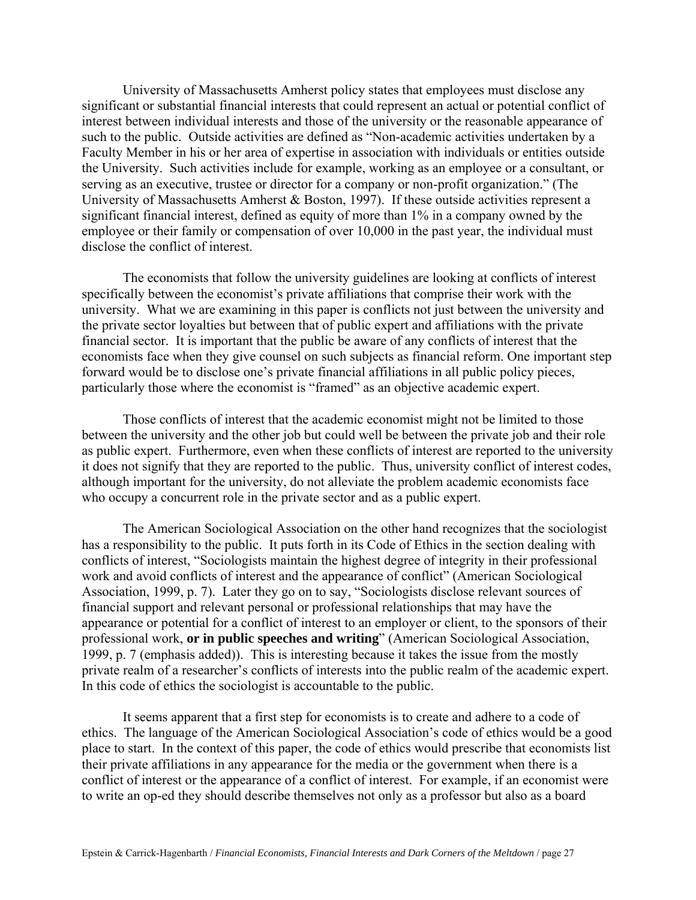University of Massachusetts Amherst policy states that employees must disclose any significant or substantial financial interests that could represent an actual or potential conflict of interest between individual interests and those of the university or the reasonable appearance of such to the public. Outside activities are defined as "Non-academic activities undertaken by a Faculty Member in his or her area of expertise in association with individuals or entities outside the University. Such activities include for example, working as an employee or a consultant, or serving as an executive, trustee or director for a company or non-profit organization." (The University of Massachusetts Amherst & Boston, 1997). If these outside activities represent a significant financial interest, defined as equity of more than 1% in a company owned by the employee or their family or compensation of over 10,000 in the past year, the individual must disclose the conflict of interest.

The economists that follow the university guidelines are looking at conflicts of interest specifically between the economist's private affiliations that comprise their work with the university. What we are examining in this paper is conflicts not just between the university and the private sector loyalties but between that of public expert and affiliations with the private financial sector. It is important that the public be aware of any conflicts of interest that the economists face when they give counsel on such subjects as financial reform. One important step forward would be to disclose one's private financial affiliations in all public policy pieces, particularly those where the economist is "framed" as an objective academic expert.

Those conflicts of interest that the academic economist might not be limited to those between the university and the other job but could well be between the private job and their role as public expert. Furthermore, even when these conflicts of interest are reported to the university it does not signify that they are reported to the public. Thus, university conflict of interest codes, although important for the university, do not alleviate the problem academic economists face who occupy a concurrent role in the private sector and as a public expert.

The American Sociological Association on the other hand recognizes that the sociologist has a responsibility to the public. It puts forth in its Code of Ethics in the section dealing with conflicts of interest, "Sociologists maintain the highest degree of integrity in their professional work and avoid conflicts of interest and the appearance of conflict" (American Sociological Association, 1999, p. 7). Later they go on to say, "Sociologists disclose relevant sources of financial support and relevant personal or professional relationships that may have the appearance or potential for a conflict of interest to an employer or client, to the sponsors of their professional work, **or in public speeches and writing**" (American Sociological Association, 1999, p. 7 (emphasis added)). This is interesting because it takes the issue from the mostly private realm of a researcher's conflicts of interests into the public realm of the academic expert. In this code of ethics the sociologist is accountable to the public.

It seems apparent that a first step for economists is to create and adhere to a code of ethics. The language of the American Sociological Association's code of ethics would be a good place to start. In the context of this paper, the code of ethics would prescribe that economists list their private affiliations in any appearance for the media or the government when there is a conflict of interest or the appearance of a conflict of interest. For example, if an economist were to write an op-ed they should describe themselves not only as a professor but also as a board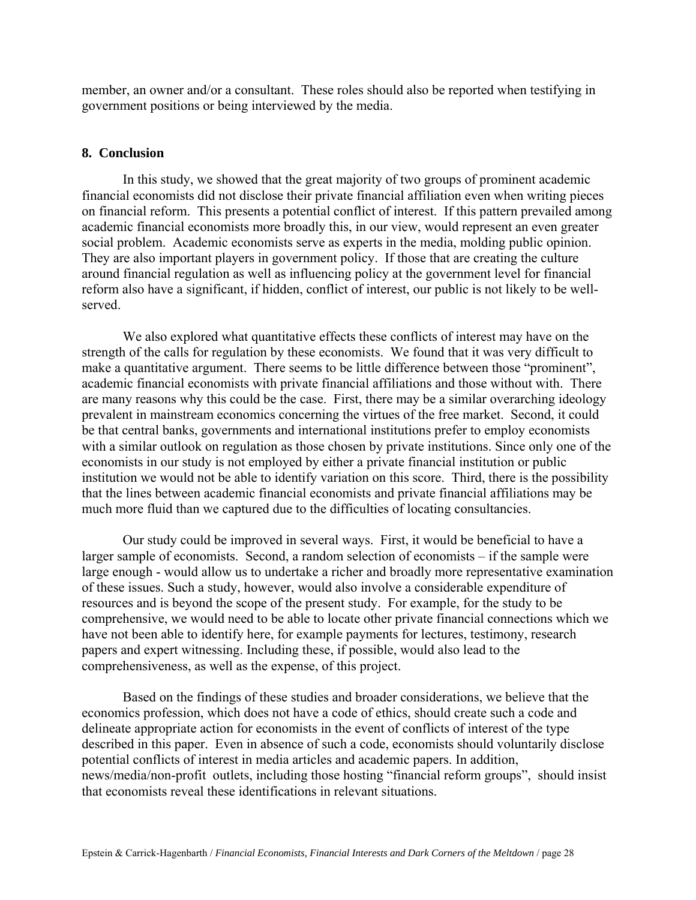member, an owner and/or a consultant. These roles should also be reported when testifying in government positions or being interviewed by the media.

#### **8. Conclusion**

 In this study, we showed that the great majority of two groups of prominent academic financial economists did not disclose their private financial affiliation even when writing pieces on financial reform. This presents a potential conflict of interest. If this pattern prevailed among academic financial economists more broadly this, in our view, would represent an even greater social problem. Academic economists serve as experts in the media, molding public opinion. They are also important players in government policy. If those that are creating the culture around financial regulation as well as influencing policy at the government level for financial reform also have a significant, if hidden, conflict of interest, our public is not likely to be wellserved.

We also explored what quantitative effects these conflicts of interest may have on the strength of the calls for regulation by these economists. We found that it was very difficult to make a quantitative argument. There seems to be little difference between those "prominent", academic financial economists with private financial affiliations and those without with. There are many reasons why this could be the case. First, there may be a similar overarching ideology prevalent in mainstream economics concerning the virtues of the free market. Second, it could be that central banks, governments and international institutions prefer to employ economists with a similar outlook on regulation as those chosen by private institutions. Since only one of the economists in our study is not employed by either a private financial institution or public institution we would not be able to identify variation on this score. Third, there is the possibility that the lines between academic financial economists and private financial affiliations may be much more fluid than we captured due to the difficulties of locating consultancies.

 Our study could be improved in several ways. First, it would be beneficial to have a larger sample of economists. Second, a random selection of economists – if the sample were large enough - would allow us to undertake a richer and broadly more representative examination of these issues. Such a study, however, would also involve a considerable expenditure of resources and is beyond the scope of the present study. For example, for the study to be comprehensive, we would need to be able to locate other private financial connections which we have not been able to identify here, for example payments for lectures, testimony, research papers and expert witnessing. Including these, if possible, would also lead to the comprehensiveness, as well as the expense, of this project.

 Based on the findings of these studies and broader considerations, we believe that the economics profession, which does not have a code of ethics, should create such a code and delineate appropriate action for economists in the event of conflicts of interest of the type described in this paper. Even in absence of such a code, economists should voluntarily disclose potential conflicts of interest in media articles and academic papers. In addition, news/media/non-profit outlets, including those hosting "financial reform groups", should insist that economists reveal these identifications in relevant situations.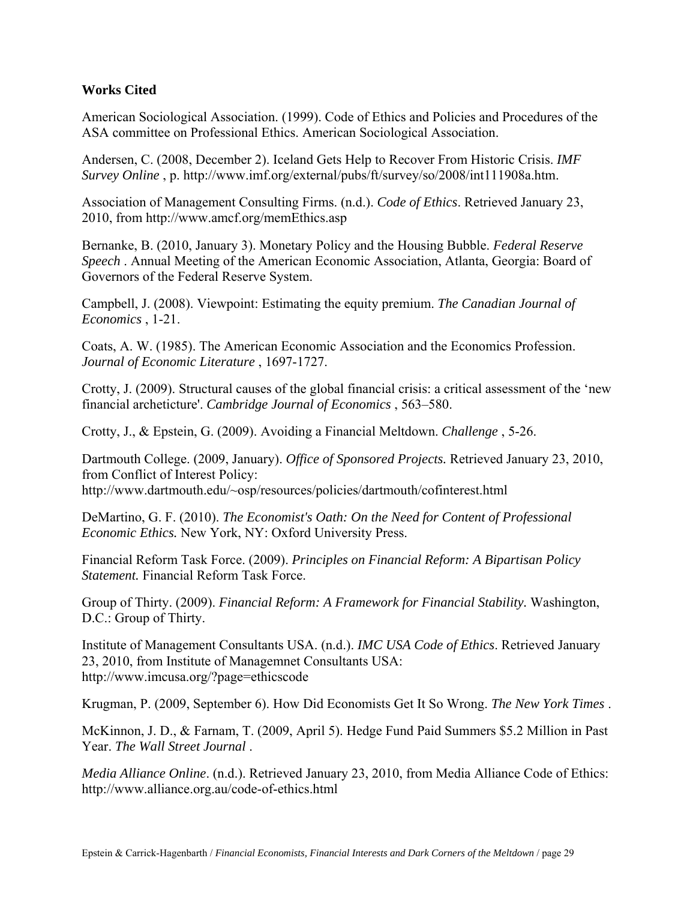#### **Works Cited**

American Sociological Association. (1999). Code of Ethics and Policies and Procedures of the ASA committee on Professional Ethics. American Sociological Association.

Andersen, C. (2008, December 2). Iceland Gets Help to Recover From Historic Crisis. *IMF Survey Online* , p. http://www.imf.org/external/pubs/ft/survey/so/2008/int111908a.htm.

Association of Management Consulting Firms. (n.d.). *Code of Ethics*. Retrieved January 23, 2010, from http://www.amcf.org/memEthics.asp

Bernanke, B. (2010, January 3). Monetary Policy and the Housing Bubble. *Federal Reserve Speech* . Annual Meeting of the American Economic Association, Atlanta, Georgia: Board of Governors of the Federal Reserve System.

Campbell, J. (2008). Viewpoint: Estimating the equity premium. *The Canadian Journal of Economics* , 1-21.

Coats, A. W. (1985). The American Economic Association and the Economics Profession. *Journal of Economic Literature* , 1697-1727.

Crotty, J. (2009). Structural causes of the global financial crisis: a critical assessment of the 'new financial archeticture'. *Cambridge Journal of Economics* , 563–580.

Crotty, J., & Epstein, G. (2009). Avoiding a Financial Meltdown. *Challenge* , 5-26.

Dartmouth College. (2009, January). *Office of Sponsored Projects.* Retrieved January 23, 2010, from Conflict of Interest Policy: http://www.dartmouth.edu/~osp/resources/policies/dartmouth/cofinterest.html

DeMartino, G. F. (2010). *The Economist's Oath: On the Need for Content of Professional Economic Ethics.* New York, NY: Oxford University Press.

Financial Reform Task Force. (2009). *Principles on Financial Reform: A Bipartisan Policy Statement.* Financial Reform Task Force.

Group of Thirty. (2009). *Financial Reform: A Framework for Financial Stability.* Washington, D.C.: Group of Thirty.

Institute of Management Consultants USA. (n.d.). *IMC USA Code of Ethics*. Retrieved January 23, 2010, from Institute of Managemnet Consultants USA: http://www.imcusa.org/?page=ethicscode

Krugman, P. (2009, September 6). How Did Economists Get It So Wrong. *The New York Times* .

McKinnon, J. D., & Farnam, T. (2009, April 5). Hedge Fund Paid Summers \$5.2 Million in Past Year. *The Wall Street Journal* .

*Media Alliance Online*. (n.d.). Retrieved January 23, 2010, from Media Alliance Code of Ethics: http://www.alliance.org.au/code-of-ethics.html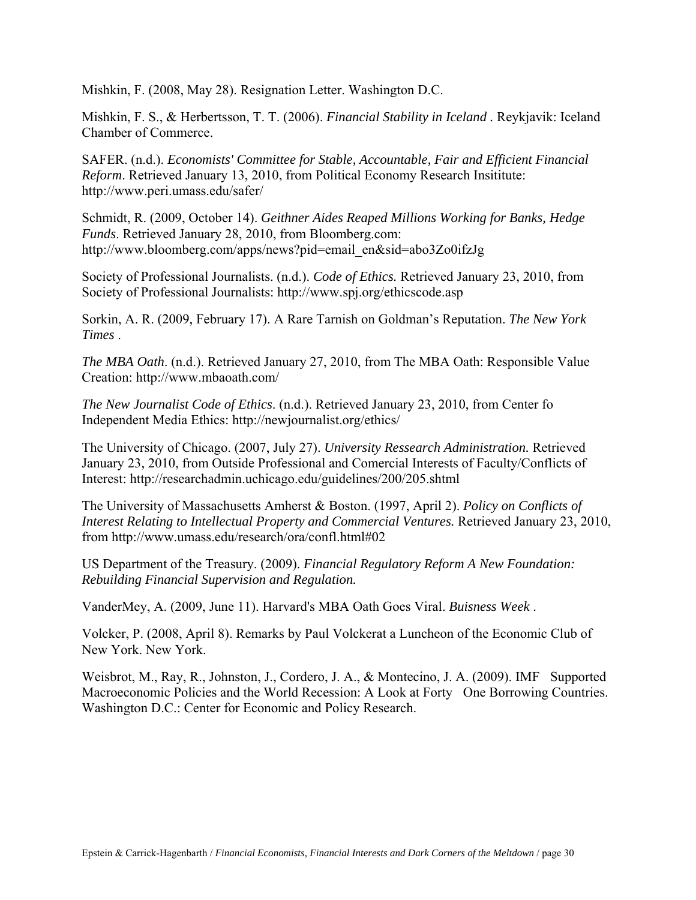Mishkin, F. (2008, May 28). Resignation Letter. Washington D.C.

Mishkin, F. S., & Herbertsson, T. T. (2006). *Financial Stability in Iceland .* Reykjavik: Iceland Chamber of Commerce.

SAFER. (n.d.). *Economists' Committee for Stable, Accountable, Fair and Efficient Financial Reform*. Retrieved January 13, 2010, from Political Economy Research Insititute: http://www.peri.umass.edu/safer/

Schmidt, R. (2009, October 14). *Geithner Aides Reaped Millions Working for Banks, Hedge Funds*. Retrieved January 28, 2010, from Bloomberg.com: http://www.bloomberg.com/apps/news?pid=email\_en&sid=abo3Zo0ifzJg

Society of Professional Journalists. (n.d.). *Code of Ethics.* Retrieved January 23, 2010, from Society of Professional Journalists: http://www.spj.org/ethicscode.asp

Sorkin, A. R. (2009, February 17). A Rare Tarnish on Goldman's Reputation. *The New York Times* .

*The MBA Oath*. (n.d.). Retrieved January 27, 2010, from The MBA Oath: Responsible Value Creation: http://www.mbaoath.com/

*The New Journalist Code of Ethics*. (n.d.). Retrieved January 23, 2010, from Center fo Independent Media Ethics: http://newjournalist.org/ethics/

The University of Chicago. (2007, July 27). *University Ressearch Administration.* Retrieved January 23, 2010, from Outside Professional and Comercial Interests of Faculty/Conflicts of Interest: http://researchadmin.uchicago.edu/guidelines/200/205.shtml

The University of Massachusetts Amherst & Boston. (1997, April 2). *Policy on Conflicts of Interest Relating to Intellectual Property and Commercial Ventures.* Retrieved January 23, 2010, from http://www.umass.edu/research/ora/confl.html#02

US Department of the Treasury. (2009). *Financial Regulatory Reform A New Foundation: Rebuilding Financial Supervision and Regulation.*

VanderMey, A. (2009, June 11). Harvard's MBA Oath Goes Viral. *Buisness Week* .

Volcker, P. (2008, April 8). Remarks by Paul Volckerat a Luncheon of the Economic Club of New York. New York.

Weisbrot, M., Ray, R., Johnston, J., Cordero, J. A., & Montecino, J. A. (2009). IMF Supported Macroeconomic Policies and the World Recession: A Look at Forty One Borrowing Countries. Washington D.C.: Center for Economic and Policy Research.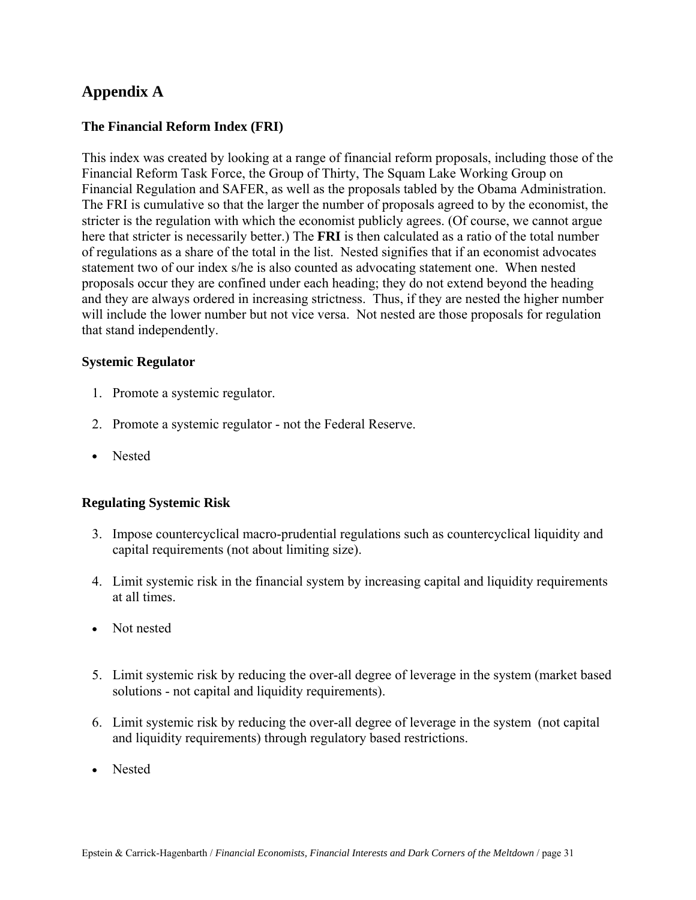## **Appendix A**

#### **The Financial Reform Index (FRI)**

This index was created by looking at a range of financial reform proposals, including those of the Financial Reform Task Force, the Group of Thirty, The Squam Lake Working Group on Financial Regulation and SAFER, as well as the proposals tabled by the Obama Administration. The FRI is cumulative so that the larger the number of proposals agreed to by the economist, the stricter is the regulation with which the economist publicly agrees. (Of course, we cannot argue here that stricter is necessarily better.) The **FRI** is then calculated as a ratio of the total number of regulations as a share of the total in the list. Nested signifies that if an economist advocates statement two of our index s/he is also counted as advocating statement one. When nested proposals occur they are confined under each heading; they do not extend beyond the heading and they are always ordered in increasing strictness. Thus, if they are nested the higher number will include the lower number but not vice versa. Not nested are those proposals for regulation that stand independently.

#### **Systemic Regulator**

- 1. Promote a systemic regulator.
- 2. Promote a systemic regulator not the Federal Reserve.
- Nested

#### **Regulating Systemic Risk**

- 3. Impose countercyclical macro-prudential regulations such as countercyclical liquidity and capital requirements (not about limiting size).
- 4. Limit systemic risk in the financial system by increasing capital and liquidity requirements at all times.
- Not nested
- 5. Limit systemic risk by reducing the over-all degree of leverage in the system (market based solutions - not capital and liquidity requirements).
- 6. Limit systemic risk by reducing the over-all degree of leverage in the system (not capital and liquidity requirements) through regulatory based restrictions.
- Nested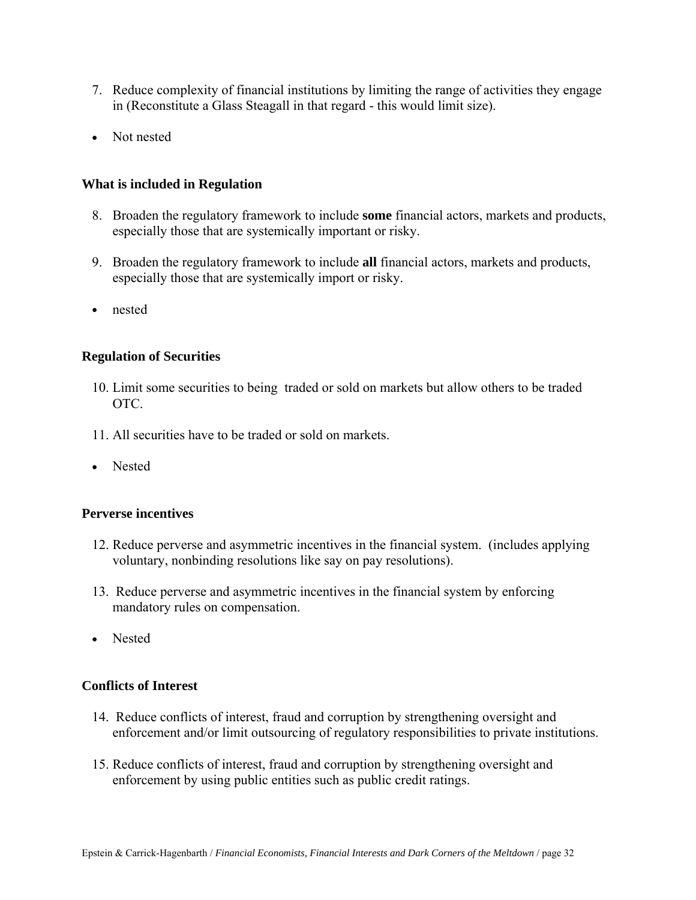- 7. Reduce complexity of financial institutions by limiting the range of activities they engage in (Reconstitute a Glass Steagall in that regard - this would limit size).
- Not nested

#### **What is included in Regulation**

- 8. Broaden the regulatory framework to include **some** financial actors, markets and products, especially those that are systemically important or risky.
- 9. Broaden the regulatory framework to include **all** financial actors, markets and products, especially those that are systemically import or risky.
- nested

#### **Regulation of Securities**

- 10. Limit some securities to being traded or sold on markets but allow others to be traded OTC.
- 11. All securities have to be traded or sold on markets.
- Nested

#### **Perverse incentives**

- 12. Reduce perverse and asymmetric incentives in the financial system. (includes applying voluntary, nonbinding resolutions like say on pay resolutions).
- 13. Reduce perverse and asymmetric incentives in the financial system by enforcing mandatory rules on compensation.
- Nested

#### **Conflicts of Interest**

- 14. Reduce conflicts of interest, fraud and corruption by strengthening oversight and enforcement and/or limit outsourcing of regulatory responsibilities to private institutions.
- 15. Reduce conflicts of interest, fraud and corruption by strengthening oversight and enforcement by using public entities such as public credit ratings.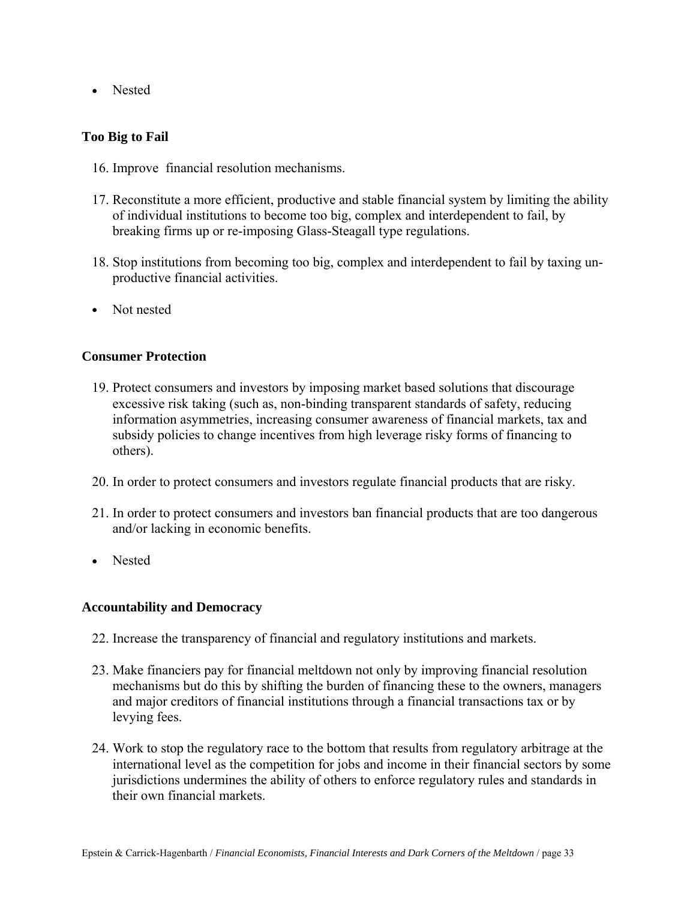• Nested

#### **Too Big to Fail**

- 16. Improve financial resolution mechanisms.
- 17. Reconstitute a more efficient, productive and stable financial system by limiting the ability of individual institutions to become too big, complex and interdependent to fail, by breaking firms up or re-imposing Glass-Steagall type regulations.
- 18. Stop institutions from becoming too big, complex and interdependent to fail by taxing unproductive financial activities.
- Not nested

#### **Consumer Protection**

- 19. Protect consumers and investors by imposing market based solutions that discourage excessive risk taking (such as, non-binding transparent standards of safety, reducing information asymmetries, increasing consumer awareness of financial markets, tax and subsidy policies to change incentives from high leverage risky forms of financing to others).
- 20. In order to protect consumers and investors regulate financial products that are risky.
- 21. In order to protect consumers and investors ban financial products that are too dangerous and/or lacking in economic benefits.
- Nested

#### **Accountability and Democracy**

- 22. Increase the transparency of financial and regulatory institutions and markets.
- 23. Make financiers pay for financial meltdown not only by improving financial resolution mechanisms but do this by shifting the burden of financing these to the owners, managers and major creditors of financial institutions through a financial transactions tax or by levying fees.
- 24. Work to stop the regulatory race to the bottom that results from regulatory arbitrage at the international level as the competition for jobs and income in their financial sectors by some jurisdictions undermines the ability of others to enforce regulatory rules and standards in their own financial markets.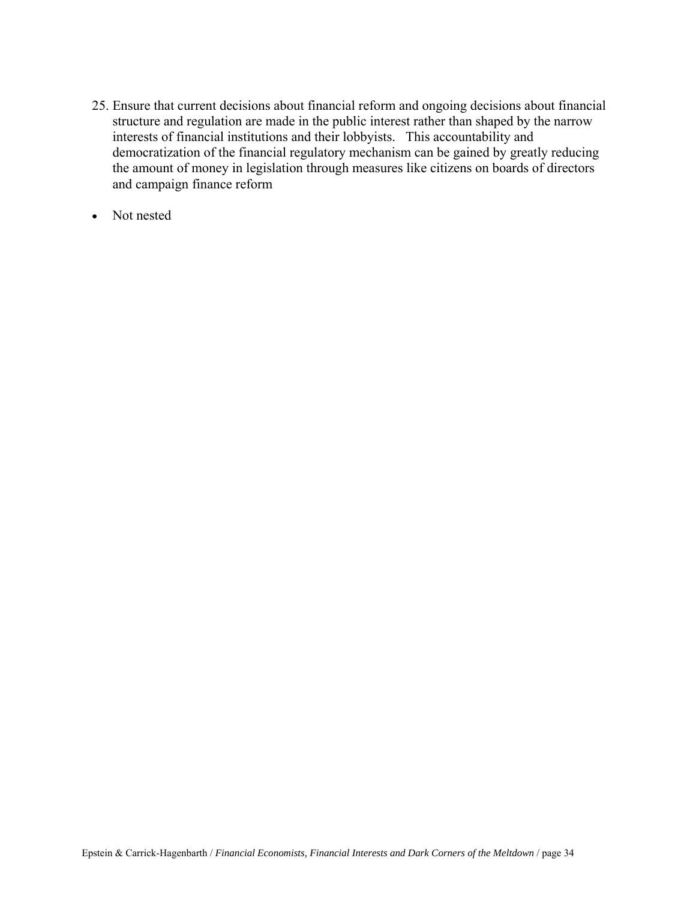- 25. Ensure that current decisions about financial reform and ongoing decisions about financial structure and regulation are made in the public interest rather than shaped by the narrow interests of financial institutions and their lobbyists. This accountability and democratization of the financial regulatory mechanism can be gained by greatly reducing the amount of money in legislation through measures like citizens on boards of directors and campaign finance reform
- Not nested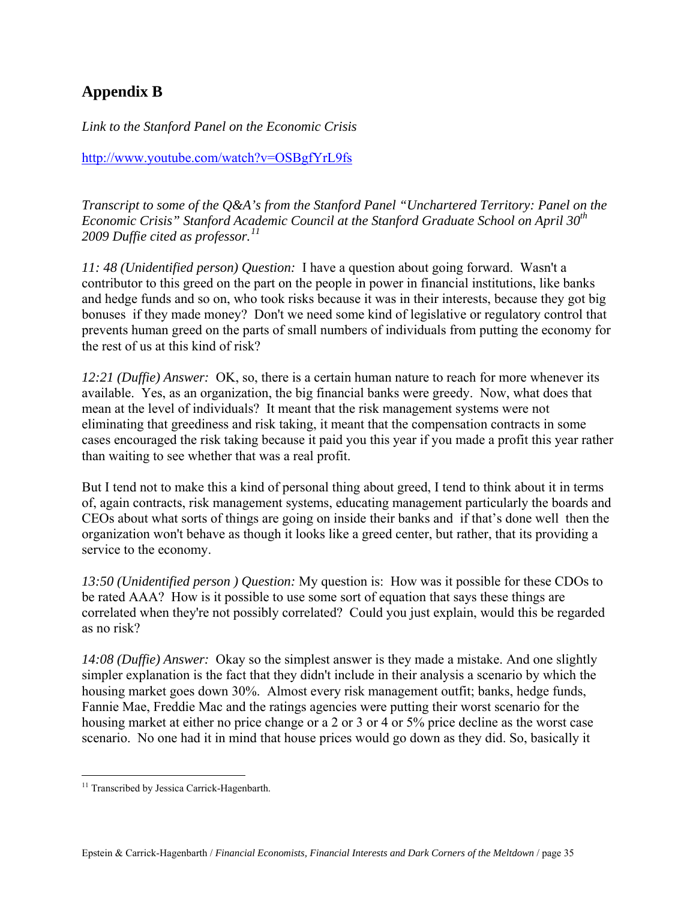# **Appendix B**

*Link to the Stanford Panel on the Economic Crisis* 

<http://www.youtube.com/watch?v=OSBgfYrL9fs>

*Transcript to some of the Q&A's from the Stanford Panel "Unchartered Territory: Panel on the Economic Crisis" Stanford Academic Council at the Stanford Graduate School on April 30th 2009 Duffie cited as professor.[11](#page-36-0)*

*11: 48 (Unidentified person) Question:* I have a question about going forward. Wasn't a contributor to this greed on the part on the people in power in financial institutions, like banks and hedge funds and so on, who took risks because it was in their interests, because they got big bonuses if they made money? Don't we need some kind of legislative or regulatory control that prevents human greed on the parts of small numbers of individuals from putting the economy for the rest of us at this kind of risk?

*12:21 (Duffie) Answer:* OK, so, there is a certain human nature to reach for more whenever its available. Yes, as an organization, the big financial banks were greedy. Now, what does that mean at the level of individuals? It meant that the risk management systems were not eliminating that greediness and risk taking, it meant that the compensation contracts in some cases encouraged the risk taking because it paid you this year if you made a profit this year rather than waiting to see whether that was a real profit.

But I tend not to make this a kind of personal thing about greed, I tend to think about it in terms of, again contracts, risk management systems, educating management particularly the boards and CEOs about what sorts of things are going on inside their banks and if that's done well then the organization won't behave as though it looks like a greed center, but rather, that its providing a service to the economy.

*13:50 (Unidentified person ) Question:* My question is: How was it possible for these CDOs to be rated AAA? How is it possible to use some sort of equation that says these things are correlated when they're not possibly correlated? Could you just explain, would this be regarded as no risk?

*14:08 (Duffie) Answer:* Okay so the simplest answer is they made a mistake. And one slightly simpler explanation is the fact that they didn't include in their analysis a scenario by which the housing market goes down 30%. Almost every risk management outfit; banks, hedge funds, Fannie Mae, Freddie Mac and the ratings agencies were putting their worst scenario for the housing market at either no price change or a 2 or 3 or 4 or 5% price decline as the worst case scenario. No one had it in mind that house prices would go down as they did. So, basically it

 $\overline{a}$ 

<span id="page-36-0"></span><sup>&</sup>lt;sup>11</sup> Transcribed by Jessica Carrick-Hagenbarth.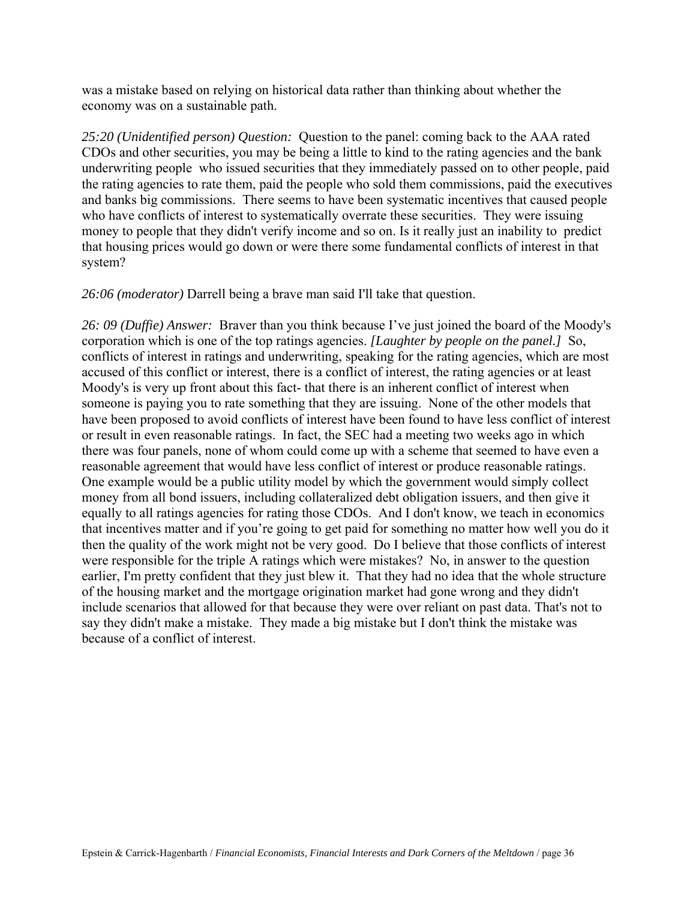was a mistake based on relying on historical data rather than thinking about whether the economy was on a sustainable path.

*25:20 (Unidentified person) Question:* Question to the panel: coming back to the AAA rated CDOs and other securities, you may be being a little to kind to the rating agencies and the bank underwriting people who issued securities that they immediately passed on to other people, paid the rating agencies to rate them, paid the people who sold them commissions, paid the executives and banks big commissions. There seems to have been systematic incentives that caused people who have conflicts of interest to systematically overrate these securities. They were issuing money to people that they didn't verify income and so on. Is it really just an inability to predict that housing prices would go down or were there some fundamental conflicts of interest in that system?

*26:06 (moderator)* Darrell being a brave man said I'll take that question.

*26: 09 (Duffie) Answer:* Braver than you think because I've just joined the board of the Moody's corporation which is one of the top ratings agencies. *[Laughter by people on the panel.]* So, conflicts of interest in ratings and underwriting, speaking for the rating agencies, which are most accused of this conflict or interest, there is a conflict of interest, the rating agencies or at least Moody's is very up front about this fact- that there is an inherent conflict of interest when someone is paying you to rate something that they are issuing. None of the other models that have been proposed to avoid conflicts of interest have been found to have less conflict of interest or result in even reasonable ratings. In fact, the SEC had a meeting two weeks ago in which there was four panels, none of whom could come up with a scheme that seemed to have even a reasonable agreement that would have less conflict of interest or produce reasonable ratings. One example would be a public utility model by which the government would simply collect money from all bond issuers, including collateralized debt obligation issuers, and then give it equally to all ratings agencies for rating those CDOs. And I don't know, we teach in economics that incentives matter and if you're going to get paid for something no matter how well you do it then the quality of the work might not be very good. Do I believe that those conflicts of interest were responsible for the triple A ratings which were mistakes? No, in answer to the question earlier, I'm pretty confident that they just blew it. That they had no idea that the whole structure of the housing market and the mortgage origination market had gone wrong and they didn't include scenarios that allowed for that because they were over reliant on past data. That's not to say they didn't make a mistake. They made a big mistake but I don't think the mistake was because of a conflict of interest.